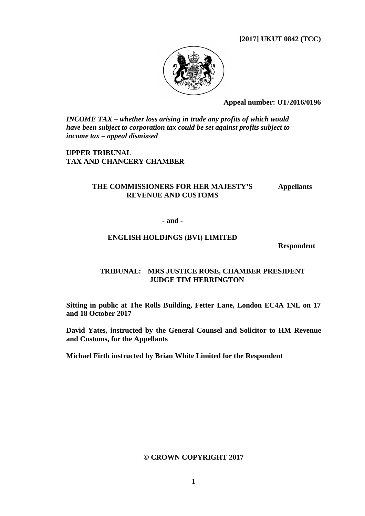**[2017] UKUT 0842 (TCC)**



**Appeal number: UT/2016/0196**

*INCOME TAX – whether loss arising in trade any profits of which would have been subject to corporation tax could be set against profits subject to income tax – appeal dismissed*

**UPPER TRIBUNAL TAX AND CHANCERY CHAMBER**

# **THE COMMISSIONERS FOR HER MAJESTY'S REVENUE AND CUSTOMS**

**Appellants**

#### **- and -**

## **ENGLISH HOLDINGS (BVI) LIMITED**

**Respondent**

# **TRIBUNAL: MRS JUSTICE ROSE, CHAMBER PRESIDENT JUDGE TIM HERRINGTON**

**Sitting in public at The Rolls Building, Fetter Lane, London EC4A 1NL on 17 and 18 October 2017** 

**David Yates, instructed by the General Counsel and Solicitor to HM Revenue and Customs, for the Appellants**

**Michael Firth instructed by Brian White Limited for the Respondent** 

#### **© CROWN COPYRIGHT 2017**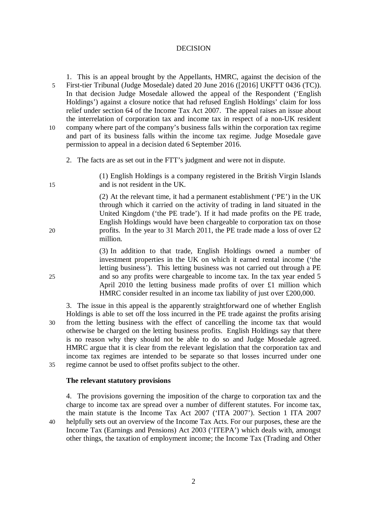#### DECISION

1. This is an appeal brought by the Appellants, HMRC, against the decision of the 5 First-tier Tribunal (Judge Mosedale) dated 20 June 2016 ([2016] UKFTT 0436 (TC)). In that decision Judge Mosedale allowed the appeal of the Respondent ('English Holdings') against a closure notice that had refused English Holdings' claim for loss relief under section 64 of the Income Tax Act 2007. The appeal raises an issue about the interrelation of corporation tax and income tax in respect of a non-UK resident 10 company where part of the company's business falls within the corporation tax regime and part of its business falls within the income tax regime. Judge Mosedale gave permission to appeal in a decision dated 6 September 2016.

2. The facts are as set out in the FTT's judgment and were not in dispute.

(1) English Holdings is a company registered in the British Virgin Islands 15 and is not resident in the UK.

(2) At the relevant time, it had a permanent establishment ('PE') in the UK through which it carried on the activity of trading in land situated in the United Kingdom ('the PE trade'). If it had made profits on the PE trade, English Holdings would have been chargeable to corporation tax on those 20 profits. In the year to 31 March 2011, the PE trade made a loss of over  $\text{\textsterling}2$ million.

(3) In addition to that trade, English Holdings owned a number of investment properties in the UK on which it earned rental income ('the letting business'). This letting business was not carried out through a PE 25 and so any profits were chargeable to income tax. In the tax year ended 5 April 2010 the letting business made profits of over £1 million which HMRC consider resulted in an income tax liability of just over £200,000.

3. The issue in this appeal is the apparently straightforward one of whether English Holdings is able to set off the loss incurred in the PE trade against the profits arising 30 from the letting business with the effect of cancelling the income tax that would otherwise be charged on the letting business profits. English Holdings say that there is no reason why they should not be able to do so and Judge Mosedale agreed. HMRC argue that it is clear from the relevant legislation that the corporation tax and income tax regimes are intended to be separate so that losses incurred under one 35 regime cannot be used to offset profits subject to the other.

# **The relevant statutory provisions**

4. The provisions governing the imposition of the charge to corporation tax and the charge to income tax are spread over a number of different statutes. For income tax, the main statute is the Income Tax Act 2007 ('ITA 2007'). Section 1 ITA 2007 40 helpfully sets out an overview of the Income Tax Acts. For our purposes, these are the Income Tax (Earnings and Pensions) Act 2003 ('ITEPA') which deals with, amongst other things, the taxation of employment income; the Income Tax (Trading and Other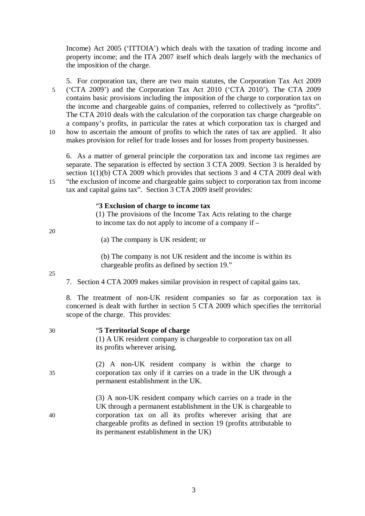Income) Act 2005 ('ITTOIA') which deals with the taxation of trading income and property income; and the ITA 2007 itself which deals largely with the mechanics of the imposition of the charge.

5. For corporation tax, there are two main statutes, the Corporation Tax Act 2009 5 ('CTA 2009') and the Corporation Tax Act 2010 ('CTA 2010'). The CTA 2009 contains basic provisions including the imposition of the charge to corporation tax on the income and chargeable gains of companies, referred to collectively as "profits". The CTA 2010 deals with the calculation of the corporation tax charge chargeable on a company's profits, in particular the rates at which corporation tax is charged and 10 how to ascertain the amount of profits to which the rates of tax are applied. It also makes provision for relief for trade losses and for losses from property businesses.

6. As a matter of general principle the corporation tax and income tax regimes are separate. The separation is effected by section 3 CTA 2009. Section 3 is heralded by section 1(1)(b) CTA 2009 which provides that sections 3 and 4 CTA 2009 deal with 15 "the exclusion of income and chargeable gains subject to corporation tax from income tax and capital gains tax". Section 3 CTA 2009 itself provides:

## "**3 Exclusion of charge to income tax**

(1) The provisions of the Income Tax Acts relating to the charge to income tax do not apply to income of a company if –

20

25

(a) The company is UK resident; or

(b) The company is not UK resident and the income is within its chargeable profits as defined by section 19."

7. Section 4 CTA 2009 makes similar provision in respect of capital gains tax.

8. The treatment of non-UK resident companies so far as corporation tax is concerned is dealt with further in section 5 CTA 2009 which specifies the territorial scope of the charge. This provides:

| 30 | "5 Territorial Scope of charge<br>(1) A UK resident company is chargeable to corporation tax on all<br>its profits wherever arising.                                                                                                                                                                               |
|----|--------------------------------------------------------------------------------------------------------------------------------------------------------------------------------------------------------------------------------------------------------------------------------------------------------------------|
| 35 | (2) A non-UK resident company is within the charge to<br>corporation tax only if it carries on a trade in the UK through a<br>permanent establishment in the UK.                                                                                                                                                   |
| 40 | (3) A non-UK resident company which carries on a trade in the<br>UK through a permanent establishment in the UK is chargeable to<br>corporation tax on all its profits wherever arising that are<br>chargeable profits as defined in section 19 (profits attributable to<br>its permanent establishment in the UK) |

3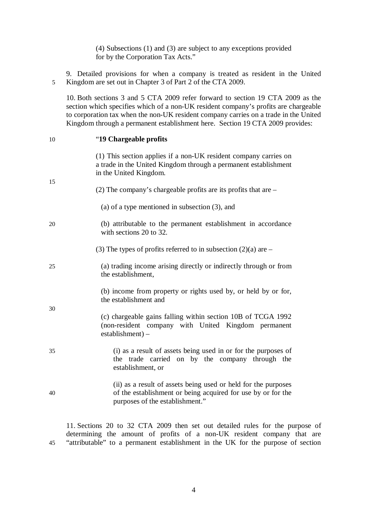(4) Subsections (1) and (3) are subject to any exceptions provided for by the Corporation Tax Acts."

9. Detailed provisions for when a company is treated as resident in the United 5 Kingdom are set out in Chapter 3 of Part 2 of the CTA 2009.

10. Both sections 3 and 5 CTA 2009 refer forward to section 19 CTA 2009 as the section which specifies which of a non-UK resident company's profits are chargeable to corporation tax when the non-UK resident company carries on a trade in the United Kingdom through a permanent establishment here. Section 19 CTA 2009 provides:

|    | Kingdom through a permanent establishment here. Section 19 CTA 2009 provides:                                                                                     |
|----|-------------------------------------------------------------------------------------------------------------------------------------------------------------------|
| 10 | "19 Chargeable profits"                                                                                                                                           |
| 15 | (1) This section applies if a non-UK resident company carries on<br>a trade in the United Kingdom through a permanent establishment<br>in the United Kingdom.     |
|    | (2) The company's chargeable profits are its profits that are $-$                                                                                                 |
|    | (a) of a type mentioned in subsection $(3)$ , and                                                                                                                 |
| 20 | (b) attributable to the permanent establishment in accordance<br>with sections 20 to 32.                                                                          |
|    | (3) The types of profits referred to in subsection $(2)(a)$ are –                                                                                                 |
| 25 | (a) trading income arising directly or indirectly through or from<br>the establishment,                                                                           |
| 30 | (b) income from property or rights used by, or held by or for,<br>the establishment and                                                                           |
|    | (c) chargeable gains falling within section 10B of TCGA 1992<br>(non-resident company with United Kingdom permanent<br>$estabilishment) -$                        |
| 35 | (i) as a result of assets being used in or for the purposes of<br>the trade carried on by the company through the<br>establishment, or                            |
| 40 | (ii) as a result of assets being used or held for the purposes<br>of the establishment or being acquired for use by or for the<br>purposes of the establishment." |
|    |                                                                                                                                                                   |

11. Sections 20 to 32 CTA 2009 then set out detailed rules for the purpose of determining the amount of profits of a non-UK resident company that are 45 "attributable" to a permanent establishment in the UK for the purpose of section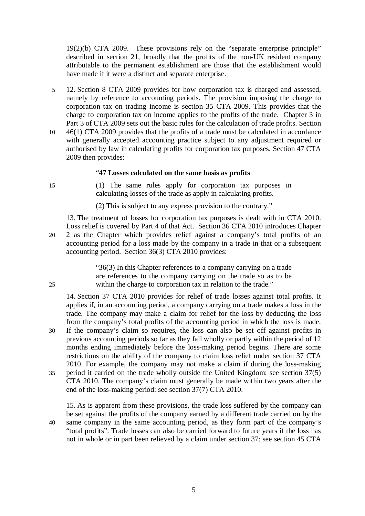19(2)(b) CTA 2009. These provisions rely on the "separate enterprise principle" described in section 21, broadly that the profits of the non-UK resident company attributable to the permanent establishment are those that the establishment would have made if it were a distinct and separate enterprise.

- 5 12. Section 8 CTA 2009 provides for how corporation tax is charged and assessed, namely by reference to accounting periods. The provision imposing the charge to corporation tax on trading income is section 35 CTA 2009. This provides that the charge to corporation tax on income applies to the profits of the trade. Chapter 3 in Part 3 of CTA 2009 sets out the basic rules for the calculation of trade profits. Section
- 10 46(1) CTA 2009 provides that the profits of a trade must be calculated in accordance with generally accepted accounting practice subject to any adjustment required or authorised by law in calculating profits for corporation tax purposes. Section 47 CTA 2009 then provides:

## "**47 Losses calculated on the same basis as profits**

15 (1) The same rules apply for corporation tax purposes in calculating losses of the trade as apply in calculating profits.

(2) This is subject to any express provision to the contrary."

13. The treatment of losses for corporation tax purposes is dealt with in CTA 2010. Loss relief is covered by Part 4 of that Act. Section 36 CTA 2010 introduces Chapter 20 2 as the Chapter which provides relief against a company's total profits of an accounting period for a loss made by the company in a trade in that or a subsequent accounting period. Section 36(3) CTA 2010 provides:

"36(3) In this Chapter references to a company carrying on a trade are references to the company carrying on the trade so as to be 25 within the charge to corporation tax in relation to the trade."

14. Section 37 CTA 2010 provides for relief of trade losses against total profits. It applies if, in an accounting period, a company carrying on a trade makes a loss in the trade. The company may make a claim for relief for the loss by deducting the loss from the company's total profits of the accounting period in which the loss is made.

- 30 If the company's claim so requires, the loss can also be set off against profits in previous accounting periods so far as they fall wholly or partly within the period of 12 months ending immediately before the loss-making period begins. There are some restrictions on the ability of the company to claim loss relief under section 37 CTA 2010. For example, the company may not make a claim if during the loss-making 35 period it carried on the trade wholly outside the United Kingdom: see section 37(5)
- CTA 2010. The company's claim must generally be made within two years after the end of the loss-making period: see section 37(7) CTA 2010.

15. As is apparent from these provisions, the trade loss suffered by the company can be set against the profits of the company earned by a different trade carried on by the 40 same company in the same accounting period, as they form part of the company's "total profits". Trade losses can also be carried forward to future years if the loss has not in whole or in part been relieved by a claim under section 37: see section 45 CTA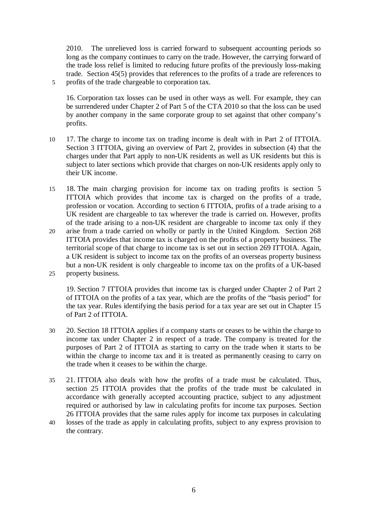2010. The unrelieved loss is carried forward to subsequent accounting periods so long as the company continues to carry on the trade. However, the carrying forward of the trade loss relief is limited to reducing future profits of the previously loss-making trade. Section 45(5) provides that references to the profits of a trade are references to 5 profits of the trade chargeable to corporation tax.

16. Corporation tax losses can be used in other ways as well. For example, they can be surrendered under Chapter 2 of Part 5 of the CTA 2010 so that the loss can be used by another company in the same corporate group to set against that other company's profits.

- 10 17. The charge to income tax on trading income is dealt with in Part 2 of ITTOIA. Section 3 ITTOIA, giving an overview of Part 2, provides in subsection (4) that the charges under that Part apply to non-UK residents as well as UK residents but this is subject to later sections which provide that charges on non-UK residents apply only to their UK income.
- 15 18. The main charging provision for income tax on trading profits is section 5 ITTOIA which provides that income tax is charged on the profits of a trade, profession or vocation. According to section 6 ITTOIA, profits of a trade arising to a UK resident are chargeable to tax wherever the trade is carried on. However, profits of the trade arising to a non-UK resident are chargeable to income tax only if they
- 20 arise from a trade carried on wholly or partly in the United Kingdom. Section 268 ITTOIA provides that income tax is charged on the profits of a property business. The territorial scope of that charge to income tax is set out in section 269 ITTOIA. Again, a UK resident is subject to income tax on the profits of an overseas property business but a non-UK resident is only chargeable to income tax on the profits of a UK-based 25 property business.

19. Section 7 ITTOIA provides that income tax is charged under Chapter 2 of Part 2 of ITTOIA on the profits of a tax year, which are the profits of the "basis period" for the tax year. Rules identifying the basis period for a tax year are set out in Chapter 15 of Part 2 of ITTOIA.

- 30 20. Section 18 ITTOIA applies if a company starts or ceases to be within the charge to income tax under Chapter 2 in respect of a trade. The company is treated for the purposes of Part 2 of ITTOIA as starting to carry on the trade when it starts to be within the charge to income tax and it is treated as permanently ceasing to carry on the trade when it ceases to be within the charge.
- 35 21. ITTOIA also deals with how the profits of a trade must be calculated. Thus, section 25 ITTOIA provides that the profits of the trade must be calculated in accordance with generally accepted accounting practice, subject to any adjustment required or authorised by law in calculating profits for income tax purposes. Section 26 ITTOIA provides that the same rules apply for income tax purposes in calculating
- 40 losses of the trade as apply in calculating profits, subject to any express provision to the contrary.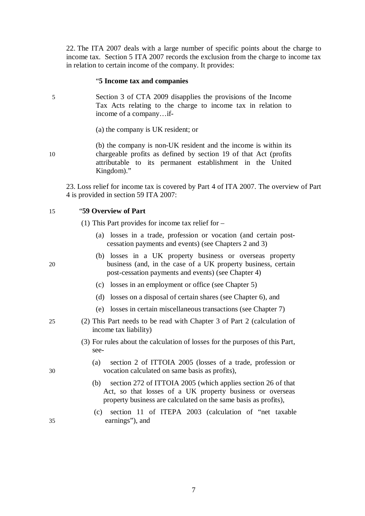22. The ITA 2007 deals with a large number of specific points about the charge to income tax. Section 5 ITA 2007 records the exclusion from the charge to income tax in relation to certain income of the company. It provides:

#### "**5 Income tax and companies**

5 Section 3 of CTA 2009 disapplies the provisions of the Income Tax Acts relating to the charge to income tax in relation to income of a company…if-

(a) the company is UK resident; or

(b) the company is non-UK resident and the income is within its 10 chargeable profits as defined by section 19 of that Act (profits attributable to its permanent establishment in the United Kingdom)."

23. Loss relief for income tax is covered by Part 4 of ITA 2007. The overview of Part 4 is provided in section 59 ITA 2007:

#### 15 "**59 Overview of Part**

(1) This Part provides for income tax relief for –

- (a) losses in a trade, profession or vocation (and certain postcessation payments and events) (see Chapters 2 and 3)
- (b) losses in a UK property business or overseas property 20 business (and, in the case of a UK property business, certain post-cessation payments and events) (see Chapter 4)
	- (c) losses in an employment or office (see Chapter 5)
	- (d) losses on a disposal of certain shares (see Chapter 6), and
	- (e) losses in certain miscellaneous transactions (see Chapter 7)
- 25 (2) This Part needs to be read with Chapter 3 of Part 2 (calculation of income tax liability)
	- (3) For rules about the calculation of losses for the purposes of this Part, see-
- (a) section 2 of ITTOIA 2005 (losses of a trade, profession or 30 vocation calculated on same basis as profits),
	- (b) section 272 of ITTOIA 2005 (which applies section 26 of that Act, so that losses of a UK property business or overseas property business are calculated on the same basis as profits),
- (c) section 11 of ITEPA 2003 (calculation of "net taxable 35 earnings"), and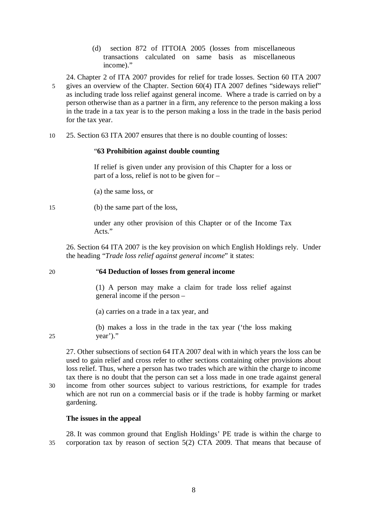(d) section 872 of ITTOIA 2005 (losses from miscellaneous transactions calculated on same basis as miscellaneous income)."

24. Chapter 2 of ITA 2007 provides for relief for trade losses. Section 60 ITA 2007 5 gives an overview of the Chapter. Section 60(4) ITA 2007 defines "sideways relief" as including trade loss relief against general income. Where a trade is carried on by a person otherwise than as a partner in a firm, any reference to the person making a loss in the trade in a tax year is to the person making a loss in the trade in the basis period for the tax year.

10 25. Section 63 ITA 2007 ensures that there is no double counting of losses:

## "**63 Prohibition against double counting**

If relief is given under any provision of this Chapter for a loss or part of a loss, relief is not to be given for –

(a) the same loss, or

15 (b) the same part of the loss,

under any other provision of this Chapter or of the Income Tax Acts."

26. Section 64 ITA 2007 is the key provision on which English Holdings rely. Under the heading "*Trade loss relief against general income*" it states:

# 20 "**64 Deduction of losses from general income**

(1) A person may make a claim for trade loss relief against general income if the person –

(a) carries on a trade in a tax year, and

(b) makes a loss in the trade in the tax year ('the loss making 25 year')."

27. Other subsections of section 64 ITA 2007 deal with in which years the loss can be used to gain relief and cross refer to other sections containing other provisions about loss relief. Thus, where a person has two trades which are within the charge to income tax there is no doubt that the person can set a loss made in one trade against general 30 income from other sources subject to various restrictions, for example for trades which are not run on a commercial basis or if the trade is hobby farming or market gardening.

# **The issues in the appeal**

28. It was common ground that English Holdings' PE trade is within the charge to 35 corporation tax by reason of section 5(2) CTA 2009. That means that because of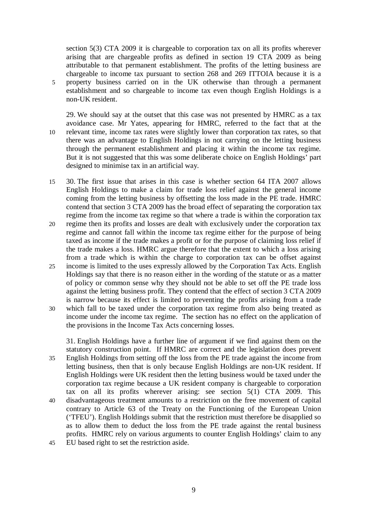section 5(3) CTA 2009 it is chargeable to corporation tax on all its profits wherever arising that are chargeable profits as defined in section 19 CTA 2009 as being attributable to that permanent establishment. The profits of the letting business are chargeable to income tax pursuant to section 268 and 269 ITTOIA because it is a 5 property business carried on in the UK otherwise than through a permanent establishment and so chargeable to income tax even though English Holdings is a non-UK resident.

- 29. We should say at the outset that this case was not presented by HMRC as a tax avoidance case. Mr Yates, appearing for HMRC, referred to the fact that at the 10 relevant time, income tax rates were slightly lower than corporation tax rates, so that there was an advantage to English Holdings in not carrying on the letting business through the permanent establishment and placing it within the income tax regime. But it is not suggested that this was some deliberate choice on English Holdings' part designed to minimise tax in an artificial way.
- 15 30. The first issue that arises in this case is whether section 64 ITA 2007 allows English Holdings to make a claim for trade loss relief against the general income coming from the letting business by offsetting the loss made in the PE trade. HMRC contend that section 3 CTA 2009 has the broad effect of separating the corporation tax regime from the income tax regime so that where a trade is within the corporation tax
- 20 regime then its profits and losses are dealt with exclusively under the corporation tax regime and cannot fall within the income tax regime either for the purpose of being taxed as income if the trade makes a profit or for the purpose of claiming loss relief if the trade makes a loss. HMRC argue therefore that the extent to which a loss arising from a trade which is within the charge to corporation tax can be offset against
- 25 income is limited to the uses expressly allowed by the Corporation Tax Acts. English Holdings say that there is no reason either in the wording of the statute or as a matter of policy or common sense why they should not be able to set off the PE trade loss against the letting business profit. They contend that the effect of section 3 CTA 2009 is narrow because its effect is limited to preventing the profits arising from a trade
- 30 which fall to be taxed under the corporation tax regime from also being treated as income under the income tax regime. The section has no effect on the application of the provisions in the Income Tax Acts concerning losses.

31. English Holdings have a further line of argument if we find against them on the statutory construction point. If HMRC are correct and the legislation does prevent 35 English Holdings from setting off the loss from the PE trade against the income from letting business, then that is only because English Holdings are non-UK resident. If English Holdings were UK resident then the letting business would be taxed under the corporation tax regime because a UK resident company is chargeable to corporation tax on all its profits wherever arising: see section 5(1) CTA 2009. This 40 disadvantageous treatment amounts to a restriction on the free movement of capital contrary to Article 63 of the Treaty on the Functioning of the European Union ('TFEU'). English Holdings submit that the restriction must therefore be disapplied so as to allow them to deduct the loss from the PE trade against the rental business profits. HMRC rely on various arguments to counter English Holdings' claim to any 45 EU based right to set the restriction aside.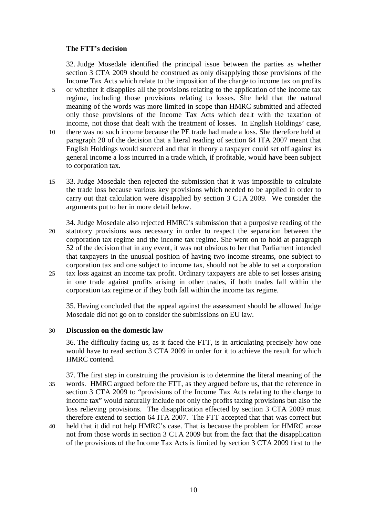## **The FTT's decision**

32. Judge Mosedale identified the principal issue between the parties as whether section 3 CTA 2009 should be construed as only disapplying those provisions of the Income Tax Acts which relate to the imposition of the charge to income tax on profits 5 or whether it disapplies all the provisions relating to the application of the income tax regime, including those provisions relating to losses. She held that the natural meaning of the words was more limited in scope than HMRC submitted and affected only those provisions of the Income Tax Acts which dealt with the taxation of income, not those that dealt with the treatment of losses. In English Holdings' case, 10 there was no such income because the PE trade had made a loss. She therefore held at paragraph 20 of the decision that a literal reading of section 64 ITA 2007 meant that English Holdings would succeed and that in theory a taxpayer could set off against its general income a loss incurred in a trade which, if profitable, would have been subject to corporation tax.

- 15 33. Judge Mosedale then rejected the submission that it was impossible to calculate the trade loss because various key provisions which needed to be applied in order to carry out that calculation were disapplied by section 3 CTA 2009. We consider the arguments put to her in more detail below.
- 34. Judge Mosedale also rejected HMRC's submission that a purposive reading of the 20 statutory provisions was necessary in order to respect the separation between the corporation tax regime and the income tax regime. She went on to hold at paragraph 52 of the decision that in any event, it was not obvious to her that Parliament intended that taxpayers in the unusual position of having two income streams, one subject to corporation tax and one subject to income tax, should not be able to set a corporation 25 tax loss against an income tax profit. Ordinary taxpayers are able to set losses arising
- in one trade against profits arising in other trades, if both trades fall within the corporation tax regime or if they both fall within the income tax regime.

35. Having concluded that the appeal against the assessment should be allowed Judge Mosedale did not go on to consider the submissions on EU law.

#### 30 **Discussion on the domestic law**

36. The difficulty facing us, as it faced the FTT, is in articulating precisely how one would have to read section 3 CTA 2009 in order for it to achieve the result for which HMRC contend.

- 37. The first step in construing the provision is to determine the literal meaning of the 35 words. HMRC argued before the FTT, as they argued before us, that the reference in section 3 CTA 2009 to "provisions of the Income Tax Acts relating to the charge to income tax" would naturally include not only the profits taxing provisions but also the loss relieving provisions. The disapplication effected by section 3 CTA 2009 must therefore extend to section 64 ITA 2007. The FTT accepted that that was correct but
- 40 held that it did not help HMRC's case. That is because the problem for HMRC arose not from those words in section 3 CTA 2009 but from the fact that the disapplication of the provisions of the Income Tax Acts is limited by section 3 CTA 2009 first to the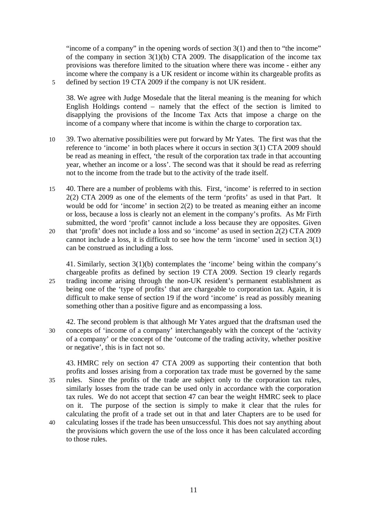"income of a company" in the opening words of section 3(1) and then to "the income" of the company in section 3(1)(b) CTA 2009. The disapplication of the income tax provisions was therefore limited to the situation where there was income - either any income where the company is a UK resident or income within its chargeable profits as 5 defined by section 19 CTA 2009 if the company is not UK resident.

38. We agree with Judge Mosedale that the literal meaning is the meaning for which English Holdings contend – namely that the effect of the section is limited to disapplying the provisions of the Income Tax Acts that impose a charge on the income of a company where that income is within the charge to corporation tax.

- 10 39. Two alternative possibilities were put forward by Mr Yates. The first was that the reference to 'income' in both places where it occurs in section 3(1) CTA 2009 should be read as meaning in effect, 'the result of the corporation tax trade in that accounting year, whether an income or a loss'. The second was that it should be read as referring not to the income from the trade but to the activity of the trade itself.
- 15 40. There are a number of problems with this. First, 'income' is referred to in section 2(2) CTA 2009 as one of the elements of the term 'profits' as used in that Part. It would be odd for 'income' in section 2(2) to be treated as meaning either an income or loss, because a loss is clearly not an element in the company's profits. As Mr Firth submitted, the word 'profit' cannot include a loss because they are opposites. Given 20 that 'profit' does not include a loss and so 'income' as used in section 2(2) CTA 2009
- cannot include a loss, it is difficult to see how the term 'income' used in section 3(1) can be construed as including a loss.

41. Similarly, section 3(1)(b) contemplates the 'income' being within the company's chargeable profits as defined by section 19 CTA 2009. Section 19 clearly regards 25 trading income arising through the non-UK resident's permanent establishment as being one of the 'type of profits' that are chargeable to corporation tax. Again, it is difficult to make sense of section 19 if the word 'income' is read as possibly meaning something other than a positive figure and as encompassing a loss.

42. The second problem is that although Mr Yates argued that the draftsman used the 30 concepts of 'income of a company' interchangeably with the concept of the 'activity of a company' or the concept of the 'outcome of the trading activity, whether positive or negative', this is in fact not so.

43. HMRC rely on section 47 CTA 2009 as supporting their contention that both profits and losses arising from a corporation tax trade must be governed by the same 35 rules. Since the profits of the trade are subject only to the corporation tax rules, similarly losses from the trade can be used only in accordance with the corporation tax rules. We do not accept that section 47 can bear the weight HMRC seek to place on it. The purpose of the section is simply to make it clear that the rules for calculating the profit of a trade set out in that and later Chapters are to be used for 40 calculating losses if the trade has been unsuccessful. This does not say anything about the provisions which govern the use of the loss once it has been calculated according to those rules.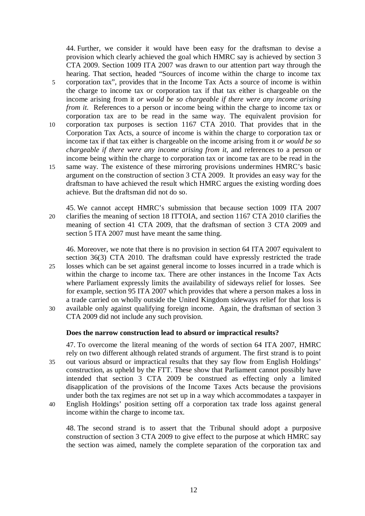44. Further, we consider it would have been easy for the draftsman to devise a provision which clearly achieved the goal which HMRC say is achieved by section 3 CTA 2009. Section 1009 ITA 2007 was drawn to our attention part way through the hearing. That section, headed "Sources of income within the charge to income tax 5 corporation tax", provides that in the Income Tax Acts a source of income is within the charge to income tax or corporation tax if that tax either is chargeable on the income arising from it *or would be so chargeable if there were any income arising from it.* References to a person or income being within the charge to income tax or corporation tax are to be read in the same way. The equivalent provision for 10 corporation tax purposes is section 1167 CTA 2010. That provides that in the Corporation Tax Acts, a source of income is within the charge to corporation tax or income tax if that tax either is chargeable on the income arising from it *or would be so chargeable if there were any income arising from it*, and references to a person or income being within the charge to corporation tax or income tax are to be read in the 15 same way. The existence of these mirroring provisions undermines HMRC's basic argument on the construction of section 3 CTA 2009. It provides an easy way for the draftsman to have achieved the result which HMRC argues the existing wording does

45. We cannot accept HMRC's submission that because section 1009 ITA 2007 20 clarifies the meaning of section 18 ITTOIA, and section 1167 CTA 2010 clarifies the meaning of section 41 CTA 2009, that the draftsman of section 3 CTA 2009 and section 5 ITA 2007 must have meant the same thing.

46. Moreover, we note that there is no provision in section 64 ITA 2007 equivalent to section 36(3) CTA 2010. The draftsman could have expressly restricted the trade

- 25 losses which can be set against general income to losses incurred in a trade which is within the charge to income tax. There are other instances in the Income Tax Acts where Parliament expressly limits the availability of sideways relief for losses. See for example, section 95 ITA 2007 which provides that where a person makes a loss in a trade carried on wholly outside the United Kingdom sideways relief for that loss is 30 available only against qualifying foreign income. Again, the draftsman of section 3
- CTA 2009 did not include any such provision.

achieve. But the draftsman did not do so.

# **Does the narrow construction lead to absurd or impractical results?**

47. To overcome the literal meaning of the words of section 64 ITA 2007, HMRC rely on two different although related strands of argument. The first strand is to point 35 out various absurd or impractical results that they say flow from English Holdings' construction, as upheld by the FTT. These show that Parliament cannot possibly have intended that section 3 CTA 2009 be construed as effecting only a limited disapplication of the provisions of the Income Taxes Acts because the provisions under both the tax regimes are not set up in a way which accommodates a taxpayer in 40 English Holdings' position setting off a corporation tax trade loss against general

income within the charge to income tax.

48. The second strand is to assert that the Tribunal should adopt a purposive construction of section 3 CTA 2009 to give effect to the purpose at which HMRC say the section was aimed, namely the complete separation of the corporation tax and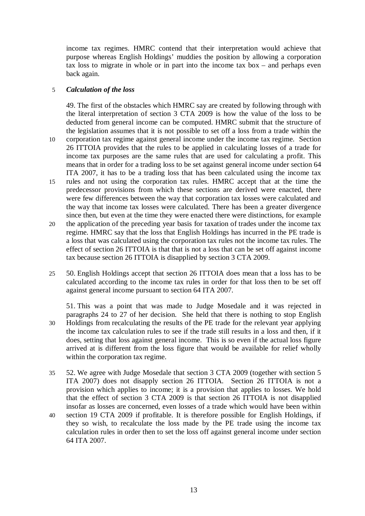income tax regimes. HMRC contend that their interpretation would achieve that purpose whereas English Holdings' muddies the position by allowing a corporation tax loss to migrate in whole or in part into the income tax box – and perhaps even back again.

# 5 *Calculation of the loss*

49. The first of the obstacles which HMRC say are created by following through with the literal interpretation of section 3 CTA 2009 is how the value of the loss to be deducted from general income can be computed. HMRC submit that the structure of the legislation assumes that it is not possible to set off a loss from a trade within the

- 10 corporation tax regime against general income under the income tax regime. Section 26 ITTOIA provides that the rules to be applied in calculating losses of a trade for income tax purposes are the same rules that are used for calculating a profit. This means that in order for a trading loss to be set against general income under section 64 ITA 2007, it has to be a trading loss that has been calculated using the income tax
- 15 rules and not using the corporation tax rules. HMRC accept that at the time the predecessor provisions from which these sections are derived were enacted, there were few differences between the way that corporation tax losses were calculated and the way that income tax losses were calculated. There has been a greater divergence since then, but even at the time they were enacted there were distinctions, for example
- 20 the application of the preceding year basis for taxation of trades under the income tax regime. HMRC say that the loss that English Holdings has incurred in the PE trade is a loss that was calculated using the corporation tax rules not the income tax rules. The effect of section 26 ITTOIA is that that is not a loss that can be set off against income tax because section 26 ITTOIA is disapplied by section 3 CTA 2009.
- 25 50. English Holdings accept that section 26 ITTOIA does mean that a loss has to be calculated according to the income tax rules in order for that loss then to be set off against general income pursuant to section 64 ITA 2007.

51. This was a point that was made to Judge Mosedale and it was rejected in paragraphs 24 to 27 of her decision. She held that there is nothing to stop English 30 Holdings from recalculating the results of the PE trade for the relevant year applying the income tax calculation rules to see if the trade still results in a loss and then, if it does, setting that loss against general income. This is so even if the actual loss figure arrived at is different from the loss figure that would be available for relief wholly within the corporation tax regime.

- 35 52. We agree with Judge Mosedale that section 3 CTA 2009 (together with section 5 ITA 2007) does not disapply section 26 ITTOIA. Section 26 ITTOIA is not a provision which applies to income; it is a provision that applies to losses. We hold that the effect of section 3 CTA 2009 is that section 26 ITTOIA is not disapplied insofar as losses are concerned, even losses of a trade which would have been within
- 40 section 19 CTA 2009 if profitable. It is therefore possible for English Holdings, if they so wish, to recalculate the loss made by the PE trade using the income tax calculation rules in order then to set the loss off against general income under section 64 ITA 2007.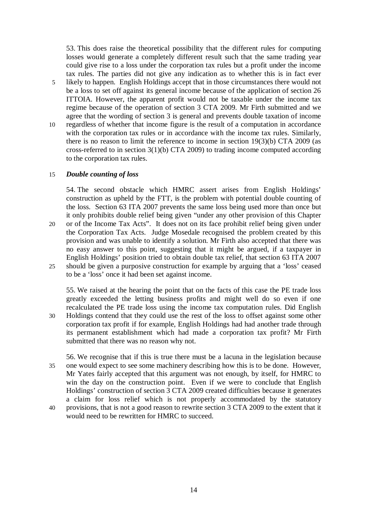53. This does raise the theoretical possibility that the different rules for computing losses would generate a completely different result such that the same trading year could give rise to a loss under the corporation tax rules but a profit under the income tax rules. The parties did not give any indication as to whether this is in fact ever 5 likely to happen. English Holdings accept that in those circumstances there would not be a loss to set off against its general income because of the application of section 26 ITTOIA. However, the apparent profit would not be taxable under the income tax regime because of the operation of section 3 CTA 2009. Mr Firth submitted and we agree that the wording of section 3 is general and prevents double taxation of income 10 regardless of whether that income figure is the result of a computation in accordance with the corporation tax rules or in accordance with the income tax rules. Similarly, there is no reason to limit the reference to income in section 19(3)(b) CTA 2009 (as cross-referred to in section 3(1)(b) CTA 2009) to trading income computed according to the corporation tax rules.

## 15 *Double counting of loss*

54. The second obstacle which HMRC assert arises from English Holdings' construction as upheld by the FTT, is the problem with potential double counting of the loss. Section 63 ITA 2007 prevents the same loss being used more than once but it only prohibits double relief being given "under any other provision of this Chapter 20 or of the Income Tax Acts". It does not on its face prohibit relief being given under the Corporation Tax Acts. Judge Mosedale recognised the problem created by this provision and was unable to identify a solution. Mr Firth also accepted that there was no easy answer to this point, suggesting that it might be argued, if a taxpayer in English Holdings' position tried to obtain double tax relief, that section 63 ITA 2007 25 should be given a purposive construction for example by arguing that a 'loss' ceased to be a 'loss' once it had been set against income.

55. We raised at the hearing the point that on the facts of this case the PE trade loss greatly exceeded the letting business profits and might well do so even if one recalculated the PE trade loss using the income tax computation rules. Did English 30 Holdings contend that they could use the rest of the loss to offset against some other corporation tax profit if for example, English Holdings had had another trade through its permanent establishment which had made a corporation tax profit? Mr Firth submitted that there was no reason why not.

56. We recognise that if this is true there must be a lacuna in the legislation because 35 one would expect to see some machinery describing how this is to be done. However, Mr Yates fairly accepted that this argument was not enough, by itself, for HMRC to win the day on the construction point. Even if we were to conclude that English Holdings' construction of section 3 CTA 2009 created difficulties because it generates a claim for loss relief which is not properly accommodated by the statutory 40 provisions, that is not a good reason to rewrite section 3 CTA 2009 to the extent that it would need to be rewritten for HMRC to succeed.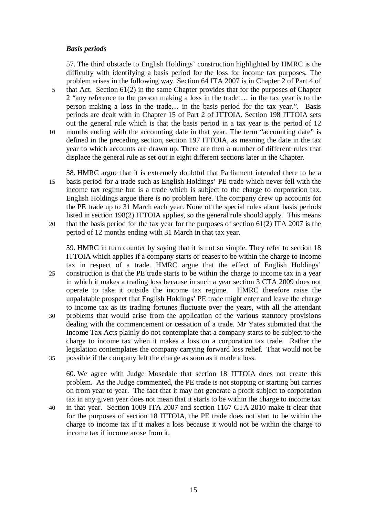## *Basis periods*

57. The third obstacle to English Holdings' construction highlighted by HMRC is the difficulty with identifying a basis period for the loss for income tax purposes. The problem arises in the following way. Section 64 ITA 2007 is in Chapter 2 of Part 4 of 5 that Act. Section 61(2) in the same Chapter provides that for the purposes of Chapter 2 "any reference to the person making a loss in the trade … in the tax year is to the person making a loss in the trade… in the basis period for the tax year.". Basis periods are dealt with in Chapter 15 of Part 2 of ITTOIA. Section 198 ITTOIA sets out the general rule which is that the basis period in a tax year is the period of 12 10 months ending with the accounting date in that year. The term "accounting date" is defined in the preceding section, section 197 ITTOIA, as meaning the date in the tax year to which accounts are drawn up. There are then a number of different rules that displace the general rule as set out in eight different sections later in the Chapter.

58. HMRC argue that it is extremely doubtful that Parliament intended there to be a 15 basis period for a trade such as English Holdings' PE trade which never fell with the income tax regime but is a trade which is subject to the charge to corporation tax. English Holdings argue there is no problem here. The company drew up accounts for the PE trade up to 31 March each year. None of the special rules about basis periods listed in section 198(2) ITTOIA applies, so the general rule should apply. This means

20 that the basis period for the tax year for the purposes of section 61(2) ITA 2007 is the period of 12 months ending with 31 March in that tax year.

59. HMRC in turn counter by saying that it is not so simple. They refer to section 18 ITTOIA which applies if a company starts or ceases to be within the charge to income tax in respect of a trade. HMRC argue that the effect of English Holdings' 25 construction is that the PE trade starts to be within the charge to income tax in a year in which it makes a trading loss because in such a year section 3 CTA 2009 does not operate to take it outside the income tax regime. HMRC therefore raise the unpalatable prospect that English Holdings' PE trade might enter and leave the charge to income tax as its trading fortunes fluctuate over the years, with all the attendant 30 problems that would arise from the application of the various statutory provisions

dealing with the commencement or cessation of a trade. Mr Yates submitted that the Income Tax Acts plainly do not contemplate that a company starts to be subject to the charge to income tax when it makes a loss on a corporation tax trade. Rather the legislation contemplates the company carrying forward loss relief. That would not be 35 possible if the company left the charge as soon as it made a loss.

60. We agree with Judge Mosedale that section 18 ITTOIA does not create this problem. As the Judge commented, the PE trade is not stopping or starting but carries on from year to year. The fact that it may not generate a profit subject to corporation tax in any given year does not mean that it starts to be within the charge to income tax 40 in that year. Section 1009 ITA 2007 and section 1167 CTA 2010 make it clear that

for the purposes of section 18 ITTOIA, the PE trade does not start to be within the charge to income tax if it makes a loss because it would not be within the charge to income tax if income arose from it.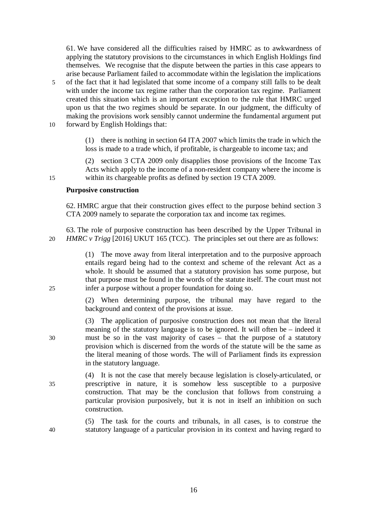61. We have considered all the difficulties raised by HMRC as to awkwardness of applying the statutory provisions to the circumstances in which English Holdings find themselves. We recognise that the dispute between the parties in this case appears to arise because Parliament failed to accommodate within the legislation the implications 5 of the fact that it had legislated that some income of a company still falls to be dealt with under the income tax regime rather than the corporation tax regime. Parliament created this situation which is an important exception to the rule that HMRC urged upon us that the two regimes should be separate. In our judgment, the difficulty of making the provisions work sensibly cannot undermine the fundamental argument put 10 forward by English Holdings that:

> (1) there is nothing in section 64 ITA 2007 which limits the trade in which the loss is made to a trade which, if profitable, is chargeable to income tax; and

(2) section 3 CTA 2009 only disapplies those provisions of the Income Tax Acts which apply to the income of a non-resident company where the income is 15 within its chargeable profits as defined by section 19 CTA 2009.

## **Purposive construction**

62. HMRC argue that their construction gives effect to the purpose behind section 3 CTA 2009 namely to separate the corporation tax and income tax regimes.

63. The role of purposive construction has been described by the Upper Tribunal in 20 *HMRC v Trigg* [2016] UKUT 165 (TCC). The principles set out there are as follows:

(1) The move away from literal interpretation and to the purposive approach entails regard being had to the context and scheme of the relevant Act as a whole. It should be assumed that a statutory provision has some purpose, but that purpose must be found in the words of the statute itself. The court must not 25 infer a purpose without a proper foundation for doing so.

> (2) When determining purpose, the tribunal may have regard to the background and context of the provisions at issue.

(3) The application of purposive construction does not mean that the literal meaning of the statutory language is to be ignored. It will often be – indeed it 30 must be so in the vast majority of cases – that the purpose of a statutory provision which is discerned from the words of the statute will be the same as the literal meaning of those words. The will of Parliament finds its expression in the statutory language.

(4) It is not the case that merely because legislation is closely-articulated, or 35 prescriptive in nature, it is somehow less susceptible to a purposive construction. That may be the conclusion that follows from construing a particular provision purposively, but it is not in itself an inhibition on such construction.

(5) The task for the courts and tribunals, in all cases, is to construe the 40 statutory language of a particular provision in its context and having regard to

16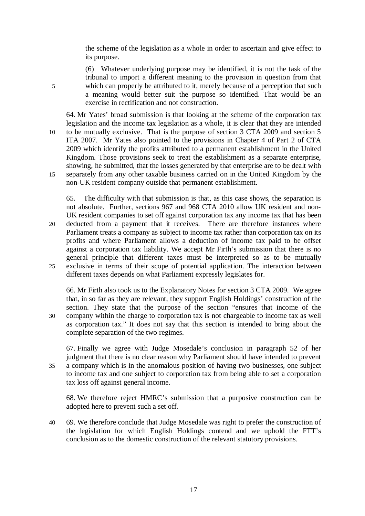the scheme of the legislation as a whole in order to ascertain and give effect to its purpose.

(6) Whatever underlying purpose may be identified, it is not the task of the tribunal to import a different meaning to the provision in question from that 5 which can properly be attributed to it, merely because of a perception that such a meaning would better suit the purpose so identified. That would be an exercise in rectification and not construction.

64. Mr Yates' broad submission is that looking at the scheme of the corporation tax legislation and the income tax legislation as a whole, it is clear that they are intended 10 to be mutually exclusive. That is the purpose of section 3 CTA 2009 and section 5 ITA 2007. Mr Yates also pointed to the provisions in Chapter 4 of Part 2 of CTA 2009 which identify the profits attributed to a permanent establishment in the United Kingdom. Those provisions seek to treat the establishment as a separate enterprise, showing, he submitted, that the losses generated by that enterprise are to be dealt with 15 separately from any other taxable business carried on in the United Kingdom by the non-UK resident company outside that permanent establishment.

65. The difficulty with that submission is that, as this case shows, the separation is not absolute. Further, sections 967 and 968 CTA 2010 allow UK resident and non-UK resident companies to set off against corporation tax any income tax that has been

20 deducted from a payment that it receives. There are therefore instances where Parliament treats a company as subject to income tax rather than corporation tax on its profits and where Parliament allows a deduction of income tax paid to be offset against a corporation tax liability. We accept Mr Firth's submission that there is no general principle that different taxes must be interpreted so as to be mutually 25 exclusive in terms of their scope of potential application. The interaction between different taxes depends on what Parliament expressly legislates for.

66. Mr Firth also took us to the Explanatory Notes for section 3 CTA 2009. We agree that, in so far as they are relevant, they support English Holdings' construction of the section. They state that the purpose of the section "ensures that income of the 30 company within the charge to corporation tax is not chargeable to income tax as well as corporation tax." It does not say that this section is intended to bring about the complete separation of the two regimes.

67. Finally we agree with Judge Mosedale's conclusion in paragraph 52 of her judgment that there is no clear reason why Parliament should have intended to prevent 35 a company which is in the anomalous position of having two businesses, one subject to income tax and one subject to corporation tax from being able to set a corporation tax loss off against general income.

68. We therefore reject HMRC's submission that a purposive construction can be adopted here to prevent such a set off.

40 69. We therefore conclude that Judge Mosedale was right to prefer the construction of the legislation for which English Holdings contend and we uphold the FTT's conclusion as to the domestic construction of the relevant statutory provisions.

17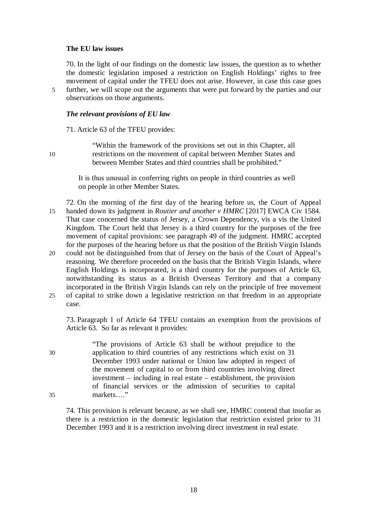#### **The EU law issues**

70. In the light of our findings on the domestic law issues, the question as to whether the domestic legislation imposed a restriction on English Holdings' rights to free movement of capital under the TFEU does not arise. However, in case this case goes 5 further, we will scope out the arguments that were put forward by the parties and our observations on those arguments.

## *The relevant provisions of EU law*

71. Article 63 of the TFEU provides:

"Within the framework of the provisions set out in this Chapter, all 10 restrictions on the movement of capital between Member States and between Member States and third countries shall be prohibited."

> It is thus unusual in conferring rights on people in third countries as well on people in other Member States.

72. On the morning of the first day of the hearing before us, the Court of Appeal 15 handed down its judgment in *Routier and another v HMRC* [2017] EWCA Civ 1584. That case concerned the status of Jersey, a Crown Dependency, vis a vis the United Kingdom. The Court held that Jersey is a third country for the purposes of the free movement of capital provisions: see paragraph 49 of the judgment. HMRC accepted for the purposes of the hearing before us that the position of the British Virgin Islands

20 could not be distinguished from that of Jersey on the basis of the Court of Appeal's reasoning. We therefore proceeded on the basis that the British Virgin Islands, where English Holdings is incorporated, is a third country for the purposes of Article 63, notwithstanding its status as a British Overseas Territory and that a company incorporated in the British Virgin Islands can rely on the principle of free movement 25 of capital to strike down a legislative restriction on that freedom in an appropriate

case.

73. Paragraph 1 of Article 64 TFEU contains an exemption from the provisions of Article 63. So far as relevant it provides:

"The provisions of Article 63 shall be without prejudice to the 30 application to third countries of any restrictions which exist on 31 December 1993 under national or Union law adopted in respect of the movement of capital to or from third countries involving direct investment – including in real estate – establishment, the provision of financial services or the admission of securities to capital 35 markets…."

74. This provision is relevant because, as we shall see, HMRC contend that insofar as there is a restriction in the domestic legislation that restriction existed prior to 31 December 1993 and it is a restriction involving direct investment in real estate.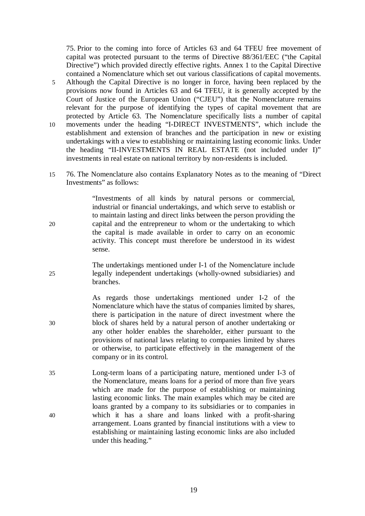75. Prior to the coming into force of Articles 63 and 64 TFEU free movement of capital was protected pursuant to the terms of Directive 88/361/EEC ("the Capital Directive") which provided directly effective rights. Annex 1 to the Capital Directive contained a Nomenclature which set out various classifications of capital movements.

- 5 Although the Capital Directive is no longer in force, having been replaced by the provisions now found in Articles 63 and 64 TFEU, it is generally accepted by the Court of Justice of the European Union ("CJEU") that the Nomenclature remains relevant for the purpose of identifying the types of capital movement that are protected by Article 63. The Nomenclature specifically lists a number of capital 10 movements under the heading "I-DIRECT INVESTMENTS", which include the establishment and extension of branches and the participation in new or existing
- undertakings with a view to establishing or maintaining lasting economic links. Under the heading "II-INVESTMENTS IN REAL ESTATE (not included under I)" investments in real estate on national territory by non-residents is included.
- 15 76. The Nomenclature also contains Explanatory Notes as to the meaning of "Direct Investments" as follows:

"Investments of all kinds by natural persons or commercial, industrial or financial undertakings, and which serve to establish or to maintain lasting and direct links between the person providing the 20 capital and the entrepreneur to whom or the undertaking to which the capital is made available in order to carry on an economic activity. This concept must therefore be understood in its widest sense.

The undertakings mentioned under I-1 of the Nomenclature include 25 legally independent undertakings (wholly-owned subsidiaries) and branches.

As regards those undertakings mentioned under I-2 of the Nomenclature which have the status of companies limited by shares, there is participation in the nature of direct investment where the 30 block of shares held by a natural person of another undertaking or any other holder enables the shareholder, either pursuant to the provisions of national laws relating to companies limited by shares or otherwise, to participate effectively in the management of the company or in its control.

35 Long-term loans of a participating nature, mentioned under I-3 of the Nomenclature, means loans for a period of more than five years which are made for the purpose of establishing or maintaining lasting economic links. The main examples which may be cited are loans granted by a company to its subsidiaries or to companies in 40 which it has a share and loans linked with a profit-sharing arrangement. Loans granted by financial institutions with a view to establishing or maintaining lasting economic links are also included under this heading."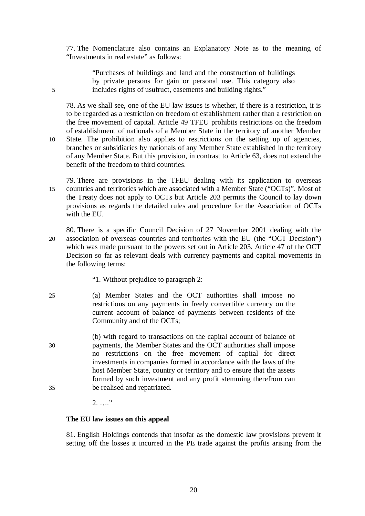77. The Nomenclature also contains an Explanatory Note as to the meaning of "Investments in real estate" as follows:

"Purchases of buildings and land and the construction of buildings by private persons for gain or personal use. This category also 5 includes rights of usufruct, easements and building rights."

78. As we shall see, one of the EU law issues is whether, if there is a restriction, it is to be regarded as a restriction on freedom of establishment rather than a restriction on the free movement of capital. Article 49 TFEU prohibits restrictions on the freedom of establishment of nationals of a Member State in the territory of another Member 10 State. The prohibition also applies to restrictions on the setting up of agencies, branches or subsidiaries by nationals of any Member State established in the territory of any Member State. But this provision, in contrast to Article 63, does not extend the

- 79. There are provisions in the TFEU dealing with its application to overseas 15 countries and territories which are associated with a Member State ("OCTs)". Most of the Treaty does not apply to OCTs but Article 203 permits the Council to lay down provisions as regards the detailed rules and procedure for the Association of OCTs with the EU.
- 80. There is a specific Council Decision of 27 November 2001 dealing with the 20 association of overseas countries and territories with the EU (the "OCT Decision") which was made pursuant to the powers set out in Article 203. Article 47 of the OCT Decision so far as relevant deals with currency payments and capital movements in the following terms:
	- "1. Without prejudice to paragraph 2:

benefit of the freedom to third countries.

- 25 (a) Member States and the OCT authorities shall impose no restrictions on any payments in freely convertible currency on the current account of balance of payments between residents of the Community and of the OCTs;
- (b) with regard to transactions on the capital account of balance of 30 payments, the Member States and the OCT authorities shall impose no restrictions on the free movement of capital for direct investments in companies formed in accordance with the laws of the host Member State, country or territory and to ensure that the assets formed by such investment and any profit stemming therefrom can 35 be realised and repatriated.
	- 2. …."

## **The EU law issues on this appeal**

81. English Holdings contends that insofar as the domestic law provisions prevent it setting off the losses it incurred in the PE trade against the profits arising from the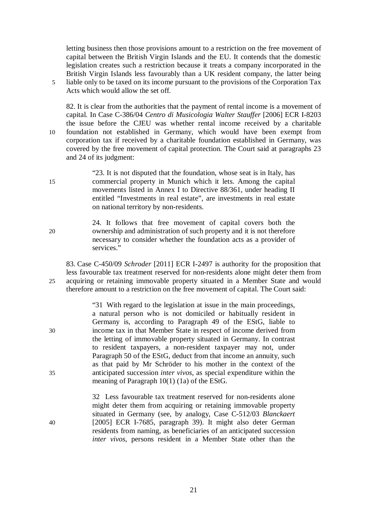letting business then those provisions amount to a restriction on the free movement of capital between the British Virgin Islands and the EU. It contends that the domestic legislation creates such a restriction because it treats a company incorporated in the British Virgin Islands less favourably than a UK resident company, the latter being 5 liable only to be taxed on its income pursuant to the provisions of the Corporation Tax Acts which would allow the set off.

82. It is clear from the authorities that the payment of rental income is a movement of capital. In Case C-386/04 *Centro di Musicologia Walter Stauffer* [2006] ECR I-8203 the issue before the CJEU was whether rental income received by a charitable 10 foundation not established in Germany, which would have been exempt from corporation tax if received by a charitable foundation established in Germany, was covered by the free movement of capital protection. The Court said at paragraphs 23 and 24 of its judgment:

- "23. It is not disputed that the foundation, whose seat is in Italy, has 15 commercial property in Munich which it lets. Among the capital movements listed in Annex I to Directive 88/361, under heading II entitled "Investments in real estate", are investments in real estate on national territory by non-residents.
- 24. It follows that free movement of capital covers both the 20 ownership and administration of such property and it is not therefore necessary to consider whether the foundation acts as a provider of services."

83. Case C-450/09 *Schroder* [2011] ECR I-2497 is authority for the proposition that less favourable tax treatment reserved for non-residents alone might deter them from 25 acquiring or retaining immovable property situated in a Member State and would therefore amount to a restriction on the free movement of capital. The Court said:

|    | "31 With regard to the legislation at issue in the main proceedings,          |
|----|-------------------------------------------------------------------------------|
|    | a natural person who is not domiciled or habitually resident in               |
|    | Germany is, according to Paragraph 49 of the EStG, liable to                  |
| 30 | income tax in that Member State in respect of income derived from             |
|    | the letting of immovable property situated in Germany. In contrast            |
|    | to resident taxpayers, a non-resident taxpayer may not, under                 |
|    | Paragraph 50 of the EStG, deduct from that income an annuity, such            |
|    | as that paid by Mr Schröder to his mother in the context of the               |
| 35 | anticipated succession <i>inter vivos</i> , as special expenditure within the |
|    | meaning of Paragraph $10(1)$ (1a) of the EStG.                                |
|    |                                                                               |

32 Less favourable tax treatment reserved for non-residents alone might deter them from acquiring or retaining immovable property situated in Germany (see, by analogy, Case C-512/03 *Blanckaert*  40 [2005] ECR I-7685, paragraph 39). It might also deter German residents from naming, as beneficiaries of an anticipated succession *inter vivos*, persons resident in a Member State other than the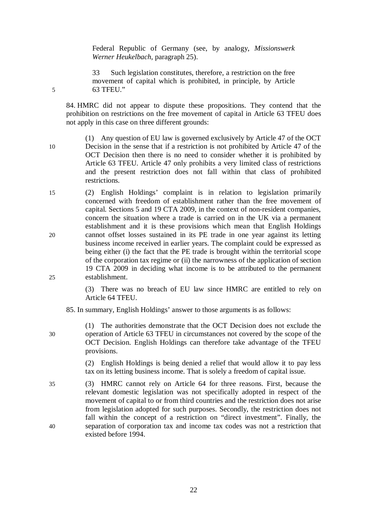Federal Republic of Germany (see, by analogy, *Missionswerk Werner Heukelbach*, paragraph 25).

33 Such legislation constitutes, therefore, a restriction on the free movement of capital which is prohibited, in principle, by Article 5 63 TFEU."

84. HMRC did not appear to dispute these propositions. They contend that the prohibition on restrictions on the free movement of capital in Article 63 TFEU does not apply in this case on three different grounds:

- (1) Any question of EU law is governed exclusively by Article 47 of the OCT 10 Decision in the sense that if a restriction is not prohibited by Article 47 of the OCT Decision then there is no need to consider whether it is prohibited by Article 63 TFEU. Article 47 only prohibits a very limited class of restrictions and the present restriction does not fall within that class of prohibited restrictions.
- 15 (2) English Holdings' complaint is in relation to legislation primarily concerned with freedom of establishment rather than the free movement of capital. Sections 5 and 19 CTA 2009, in the context of non-resident companies, concern the situation where a trade is carried on in the UK via a permanent establishment and it is these provisions which mean that English Holdings 20 cannot offset losses sustained in its PE trade in one year against its letting business income received in earlier years. The complaint could be expressed as being either (i) the fact that the PE trade is brought within the territorial scope of the corporation tax regime or (ii) the narrowness of the application of section 19 CTA 2009 in deciding what income is to be attributed to the permanent 25 establishment.

(3) There was no breach of EU law since HMRC are entitled to rely on Article 64 TFEU.

85. In summary, English Holdings' answer to those arguments is as follows:

(1) The authorities demonstrate that the OCT Decision does not exclude the 30 operation of Article 63 TFEU in circumstances not covered by the scope of the OCT Decision. English Holdings can therefore take advantage of the TFEU provisions.

> (2) English Holdings is being denied a relief that would allow it to pay less tax on its letting business income. That is solely a freedom of capital issue.

35 (3) HMRC cannot rely on Article 64 for three reasons. First, because the relevant domestic legislation was not specifically adopted in respect of the movement of capital to or from third countries and the restriction does not arise from legislation adopted for such purposes. Secondly, the restriction does not fall within the concept of a restriction on "direct investment". Finally, the 40 separation of corporation tax and income tax codes was not a restriction that existed before 1994.

22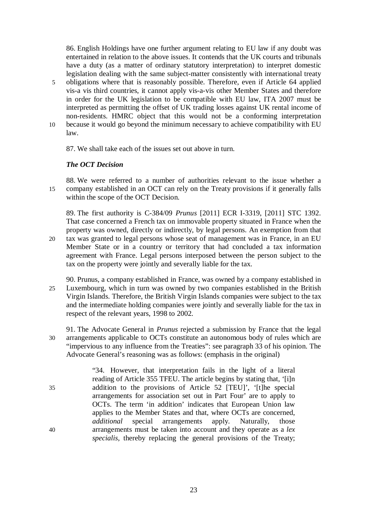86. English Holdings have one further argument relating to EU law if any doubt was entertained in relation to the above issues. It contends that the UK courts and tribunals have a duty (as a matter of ordinary statutory interpretation) to interpret domestic legislation dealing with the same subject-matter consistently with international treaty 5 obligations where that is reasonably possible. Therefore, even if Article 64 applied vis-a vis third countries, it cannot apply vis-a-vis other Member States and therefore in order for the UK legislation to be compatible with EU law, ITA 2007 must be interpreted as permitting the offset of UK trading losses against UK rental income of non-residents. HMRC object that this would not be a conforming interpretation 10 because it would go beyond the minimum necessary to achieve compatibility with EU law.

87. We shall take each of the issues set out above in turn.

# *The OCT Decision*

88. We were referred to a number of authorities relevant to the issue whether a 15 company established in an OCT can rely on the Treaty provisions if it generally falls within the scope of the OCT Decision.

89. The first authority is C-384/09 *Prunus* [2011] ECR I-3319, [2011] STC 1392. That case concerned a French tax on immovable property situated in France when the property was owned, directly or indirectly, by legal persons. An exemption from that 20 tax was granted to legal persons whose seat of management was in France, in an EU Member State or in a country or territory that had concluded a tax information agreement with France. Legal persons interposed between the person subject to the tax on the property were jointly and severally liable for the tax.

- 90. Prunus, a company established in France, was owned by a company established in 25 Luxembourg, which in turn was owned by two companies established in the British Virgin Islands. Therefore, the British Virgin Islands companies were subject to the tax and the intermediate holding companies were jointly and severally liable for the tax in respect of the relevant years, 1998 to 2002.
- 91. The Advocate General in *Prunus* rejected a submission by France that the legal 30 arrangements applicable to OCTs constitute an autonomous body of rules which are "impervious to any influence from the Treaties": see paragraph 33 of his opinion. The Advocate General's reasoning was as follows: (emphasis in the original)

"34. However, that interpretation fails in the light of a literal reading of Article 355 TFEU. The article begins by stating that, '[i]n 35 addition to the provisions of Article 52 [TEU]', '[t]he special arrangements for association set out in Part Four' are to apply to OCTs. The term 'in addition' indicates that European Union law applies to the Member States and that, where OCTs are concerned, *additional* special arrangements apply. Naturally, those 40 arrangements must be taken into account and they operate as a *lex specialis,* thereby replacing the general provisions of the Treaty;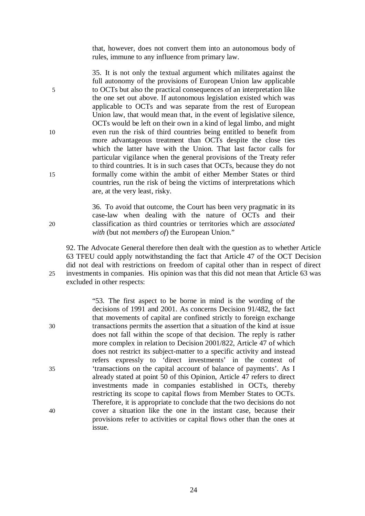that, however, does not convert them into an autonomous body of rules, immune to any influence from primary law.

35. It is not only the textual argument which militates against the full autonomy of the provisions of European Union law applicable 5 to OCTs but also the practical consequences of an interpretation like the one set out above. If autonomous legislation existed which was applicable to OCTs and was separate from the rest of European Union law, that would mean that, in the event of legislative silence, OCTs would be left on their own in a kind of legal limbo, and might 10 even run the risk of third countries being entitled to benefit from more advantageous treatment than OCTs despite the close ties which the latter have with the Union. That last factor calls for particular vigilance when the general provisions of the Treaty refer to third countries. It is in such cases that OCTs, because they do not 15 formally come within the ambit of either Member States or third countries, run the risk of being the victims of interpretations which are, at the very least, risky.

36. To avoid that outcome, the Court has been very pragmatic in its case-law when dealing with the nature of OCTs and their 20 classification as third countries or territories which are *associated with* (but not *members of*) the European Union."

92. The Advocate General therefore then dealt with the question as to whether Article 63 TFEU could apply notwithstanding the fact that Article 47 of the OCT Decision did not deal with restrictions on freedom of capital other than in respect of direct 25 investments in companies. His opinion was that this did not mean that Article 63 was excluded in other respects:

"53. The first aspect to be borne in mind is the wording of the decisions of 1991 and 2001. As concerns Decision 91/482, the fact that movements of capital are confined strictly to foreign exchange 30 transactions permits the assertion that a situation of the kind at issue does not fall within the scope of that decision. The reply is rather more complex in relation to Decision 2001/822, Article 47 of which does not restrict its subject-matter to a specific activity and instead refers expressly to 'direct investments' in the context of 35 'transactions on the capital account of balance of payments'. As I already stated at point 50 of this Opinion, Article 47 refers to direct investments made in companies established in OCTs, thereby restricting its scope to capital flows from Member States to OCTs. Therefore, it is appropriate to conclude that the two decisions do not 40 cover a situation like the one in the instant case, because their provisions refer to activities or capital flows other than the ones at issue.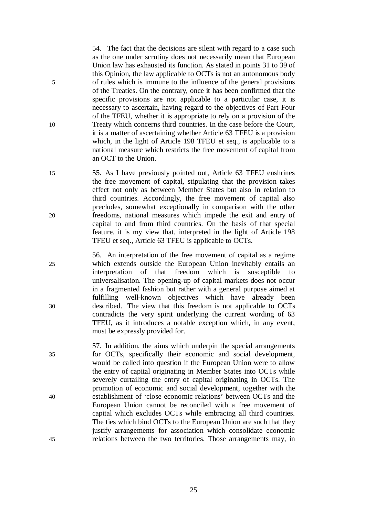54. The fact that the decisions are silent with regard to a case such as the one under scrutiny does not necessarily mean that European Union law has exhausted its function. As stated in points 31 to 39 of this Opinion, the law applicable to OCTs is not an autonomous body 5 of rules which is immune to the influence of the general provisions of the Treaties. On the contrary, once it has been confirmed that the specific provisions are not applicable to a particular case, it is necessary to ascertain, having regard to the objectives of Part Four of the TFEU, whether it is appropriate to rely on a provision of the 10 Treaty which concerns third countries. In the case before the Court, it is a matter of ascertaining whether Article 63 TFEU is a provision which, in the light of Article 198 TFEU et seq., is applicable to a national measure which restricts the free movement of capital from an OCT to the Union.

15 55. As I have previously pointed out, Article 63 TFEU enshrines the free movement of capital, stipulating that the provision takes effect not only as between Member States but also in relation to third countries. Accordingly, the free movement of capital also precludes, somewhat exceptionally in comparison with the other 20 freedoms, national measures which impede the exit and entry of capital to and from third countries. On the basis of that special feature, it is my view that, interpreted in the light of Article 198 TFEU et seq., Article 63 TFEU is applicable to OCTs.

56. An interpretation of the free movement of capital as a regime 25 which extends outside the European Union inevitably entails an interpretation of that freedom which is susceptible to universalisation. The opening-up of capital markets does not occur in a fragmented fashion but rather with a general purpose aimed at fulfilling well-known objectives which have already been 30 described. The view that this freedom is not applicable to OCTs contradicts the very spirit underlying the current wording of 63 TFEU, as it introduces a notable exception which, in any event, must be expressly provided for.

57. In addition, the aims which underpin the special arrangements 35 for OCTs, specifically their economic and social development, would be called into question if the European Union were to allow the entry of capital originating in Member States into OCTs while severely curtailing the entry of capital originating in OCTs. The promotion of economic and social development, together with the 40 establishment of 'close economic relations' between OCTs and the European Union cannot be reconciled with a free movement of capital which excludes OCTs while embracing all third countries. The ties which bind OCTs to the European Union are such that they justify arrangements for association which consolidate economic 45 relations between the two territories. Those arrangements may, in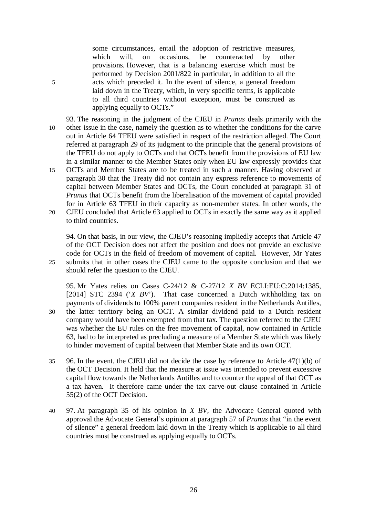some circumstances, entail the adoption of restrictive measures, which will, on occasions, be counteracted by other provisions. However, that is a balancing exercise which must be performed by Decision 2001/822 in particular, in addition to all the 5 acts which preceded it. In the event of silence, a general freedom laid down in the Treaty, which, in very specific terms, is applicable to all third countries without exception, must be construed as applying equally to OCTs."

93. The reasoning in the judgment of the CJEU in *Prunus* deals primarily with the 10 other issue in the case, namely the question as to whether the conditions for the carve out in Article 64 TFEU were satisfied in respect of the restriction alleged. The Court referred at paragraph 29 of its judgment to the principle that the general provisions of the TFEU do not apply to OCTs and that OCTs benefit from the provisions of EU law in a similar manner to the Member States only when EU law expressly provides that

15 OCTs and Member States are to be treated in such a manner. Having observed at paragraph 30 that the Treaty did not contain any express reference to movements of capital between Member States and OCTs, the Court concluded at paragraph 31 of *Prunus* that OCTs benefit from the liberalisation of the movement of capital provided for in Article 63 TFEU in their capacity as non-member states. In other words, the 20 CJEU concluded that Article 63 applied to OCTs in exactly the same way as it applied

to third countries.

94. On that basis, in our view, the CJEU's reasoning impliedly accepts that Article 47 of the OCT Decision does not affect the position and does not provide an exclusive code for OCTs in the field of freedom of movement of capital. However, Mr Yates 25 submits that in other cases the CJEU came to the opposite conclusion and that we should refer the question to the CJEU.

95. Mr Yates relies on Cases C-24/12 & C-27/12 *X BV* ECLI:EU:C:2014:1385, [2014] STC 2394 (*'X BV*). That case concerned a Dutch withholding tax on payments of dividends to 100% parent companies resident in the Netherlands Antilles, 30 the latter territory being an OCT. A similar dividend paid to a Dutch resident company would have been exempted from that tax. The question referred to the CJEU was whether the EU rules on the free movement of capital, now contained in Article 63, had to be interpreted as precluding a measure of a Member State which was likely to hinder movement of capital between that Member State and its own OCT.

- 35 96. In the event, the CJEU did not decide the case by reference to Article 47(1)(b) of the OCT Decision. It held that the measure at issue was intended to prevent excessive capital flow towards the Netherlands Antilles and to counter the appeal of that OCT as a tax haven. It therefore came under the tax carve-out clause contained in Article 55(2) of the OCT Decision.
- 40 97. At paragraph 35 of his opinion in *X BV*, the Advocate General quoted with approval the Advocate General's opinion at paragraph 57 of *Prunus* that "in the event of silence" a general freedom laid down in the Treaty which is applicable to all third countries must be construed as applying equally to OCTs.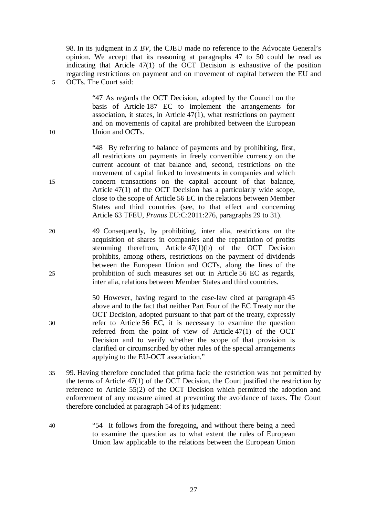98. In its judgment in *X BV*, the CJEU made no reference to the Advocate General's opinion. We accept that its reasoning at paragraphs 47 to 50 could be read as indicating that Article 47(1) of the OCT Decision is exhaustive of the position regarding restrictions on payment and on movement of capital between the EU and 5 OCTs. The Court said:

"47 As regards the OCT Decision, adopted by the Council on the basis of Article 187 EC to implement the arrangements for association, it states, in Article 47(1), what restrictions on payment and on movements of capital are prohibited between the European 10 Union and OCTs.

"48 By referring to balance of payments and by prohibiting, first, all restrictions on payments in freely convertible currency on the current account of that balance and, second, restrictions on the movement of capital linked to investments in companies and which 15 concern transactions on the capital account of that balance, Article 47(1) of the OCT Decision has a particularly wide scope, close to the scope of Article 56 EC in the relations between Member States and third countries (see, to that effect and concerning Article 63 TFEU, *Prunus* EU:C:2011:276, paragraphs 29 to 31).

20 49 Consequently, by prohibiting, inter alia, restrictions on the acquisition of shares in companies and the repatriation of profits stemming therefrom, Article 47(1)(b) of the OCT Decision prohibits, among others, restrictions on the payment of dividends between the European Union and OCTs, along the lines of the 25 prohibition of such measures set out in Article 56 EC as regards, inter alia, relations between Member States and third countries.

50 However, having regard to the case-law cited at paragraph 45 above and to the fact that neither Part Four of the EC Treaty nor the OCT Decision, adopted pursuant to that part of the treaty, expressly 30 refer to Article 56 EC, it is necessary to examine the question referred from the point of view of Article 47(1) of the OCT Decision and to verify whether the scope of that provision is clarified or circumscribed by other rules of the special arrangements applying to the EU-OCT association."

- 35 99. Having therefore concluded that prima facie the restriction was not permitted by the terms of Article 47(1) of the OCT Decision, the Court justified the restriction by reference to Article 55(2) of the OCT Decision which permitted the adoption and enforcement of any measure aimed at preventing the avoidance of taxes. The Court therefore concluded at paragraph 54 of its judgment:
- 40 "54 It follows from the foregoing, and without there being a need to examine the question as to what extent the rules of European Union law applicable to the relations between the European Union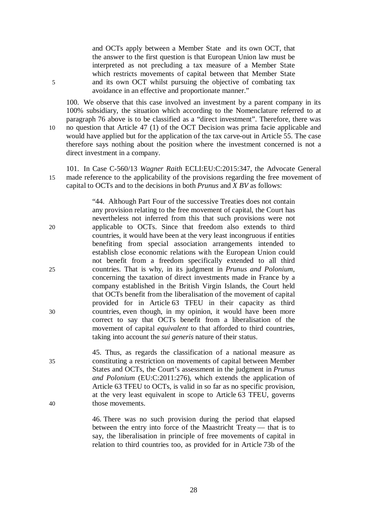and OCTs apply between a Member State and its own OCT, that the answer to the first question is that European Union law must be interpreted as not precluding a tax measure of a Member State which restricts movements of capital between that Member State 5 and its own OCT whilst pursuing the objective of combating tax avoidance in an effective and proportionate manner."

100. We observe that this case involved an investment by a parent company in its 100% subsidiary, the situation which according to the Nomenclature referred to at paragraph 76 above is to be classified as a "direct investment". Therefore, there was 10 no question that Article 47 (1) of the OCT Decision was prima facie applicable and would have applied but for the application of the tax carve-out in Article 55. The case therefore says nothing about the position where the investment concerned is not a direct investment in a company.

101. In Case C-560/13 *Wagner Raith* ECLI:EU:C:2015:347, the Advocate General 15 made reference to the applicability of the provisions regarding the free movement of capital to OCTs and to the decisions in both *Prunus* and *X BV* as follows:

"44. Although Part Four of the successive Treaties does not contain any provision relating to the free movement of capital, the Court has nevertheless not inferred from this that such provisions were not 20 applicable to OCTs. Since that freedom also extends to third countries, it would have been at the very least incongruous if entities benefiting from special association arrangements intended to establish close economic relations with the European Union could not benefit from a freedom specifically extended to all third 25 countries. That is why, in its judgment in *Prunus and Polonium*, concerning the taxation of direct investments made in France by a company established in the British Virgin Islands, the Court held that OCTs benefit from the liberalisation of the movement of capital provided for in Article 63 TFEU in their capacity as third 30 countries, even though, in my opinion, it would have been more correct to say that OCTs benefit from a liberalisation of the movement of capital *equivalent* to that afforded to third countries, taking into account the *sui generis* nature of their status.

45. Thus, as regards the classification of a national measure as 35 constituting a restriction on movements of capital between Member States and OCTs, the Court's assessment in the judgment in *Prunus and Polonium* (EU:C:2011:276), which extends the application of Article 63 TFEU to OCTs, is valid in so far as no specific provision, at the very least equivalent in scope to Article 63 TFEU, governs 40 those movements.

> 46. There was no such provision during the period that elapsed between the entry into force of the Maastricht Treaty — that is to say, the liberalisation in principle of free movements of capital in relation to third countries too, as provided for in Article 73b of the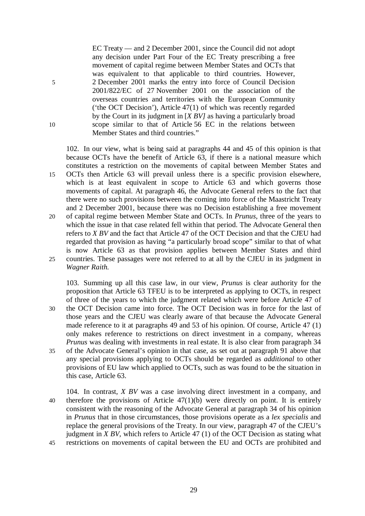EC Treaty — and 2 December 2001, since the Council did not adopt any decision under Part Four of the EC Treaty prescribing a free movement of capital regime between Member States and OCTs that was equivalent to that applicable to third countries. However, 5 2 December 2001 marks the entry into force of Council Decision 2001/822/EC of 27 November 2001 on the association of the overseas countries and territories with the European Community ('the OCT Decision'), Article 47(1) of which was recently regarded by the Court in its judgment in [*X BV]* as having a particularly broad 10 scope similar to that of Article 56 EC in the relations between Member States and third countries."

102. In our view, what is being said at paragraphs 44 and 45 of this opinion is that because OCTs have the benefit of Article 63, if there is a national measure which constitutes a restriction on the movements of capital between Member States and 15 OCTs then Article 63 will prevail unless there is a specific provision elsewhere, which is at least equivalent in scope to Article 63 and which governs those movements of capital. At paragraph 46, the Advocate General refers to the fact that there were no such provisions between the coming into force of the Maastricht Treaty and 2 December 2001, because there was no Decision establishing a free movement 20 of capital regime between Member State and OCTs. In *Prunus*, three of the years to which the issue in that case related fell within that period. The Advocate General then refers to *X BV* and the fact that Article 47 of the OCT Decision and that the CJEU had regarded that provision as having "a particularly broad scope" similar to that of what is now Article 63 as that provision applies between Member States and third 25 countries. These passages were not referred to at all by the CJEU in its judgment in *Wagner Raith.*

103. Summing up all this case law, in our view, *Prunus* is clear authority for the proposition that Article 63 TFEU is to be interpreted as applying to OCTs, in respect of three of the years to which the judgment related which were before Article 47 of 30 the OCT Decision came into force. The OCT Decision was in force for the last of those years and the CJEU was clearly aware of that because the Advocate General made reference to it at paragraphs 49 and 53 of his opinion. Of course, Article 47 (1) only makes reference to restrictions on direct investment in a company, whereas *Prunus* was dealing with investments in real estate. It is also clear from paragraph 34 35 of the Advocate General's opinion in that case, as set out at paragraph 91 above that any special provisions applying to OCTs should be regarded as *additional* to other provisions of EU law which applied to OCTs, such as was found to be the situation in this case, Article 63.

104. In contrast, *X BV* was a case involving direct investment in a company, and 40 therefore the provisions of Article 47(1)(b) were directly on point. It is entirely consistent with the reasoning of the Advocate General at paragraph 34 of his opinion in *Prunus* that in those circumstances, those provisions operate as a *lex specialis* and replace the general provisions of the Treaty. In our view, paragraph 47 of the CJEU's judgment in *X BV*, which refers to Article 47 (1) of the OCT Decision as stating what 45 restrictions on movements of capital between the EU and OCTs are prohibited and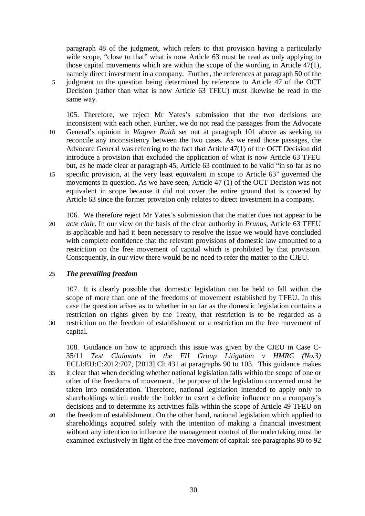paragraph 48 of the judgment, which refers to that provision having a particularly wide scope, "close to that" what is now Article 63 must be read as only applying to those capital movements which are within the scope of the wording in Article 47(1), namely direct investment in a company. Further, the references at paragraph 50 of the 5 judgment to the question being determined by reference to Article 47 of the OCT Decision (rather than what is now Article 63 TFEU) must likewise be read in the same way.

105. Therefore, we reject Mr Yates's submission that the two decisions are inconsistent with each other. Further, we do not read the passages from the Advocate 10 General's opinion in *Wagner Raith* set out at paragraph 101 above as seeking to reconcile any inconsistency between the two cases. As we read those passages, the Advocate General was referring to the fact that Article 47(1) of the OCT Decision did introduce a provision that excluded the application of what is now Article 63 TFEU but, as he made clear at paragraph 45, Article 63 continued to be valid "in so far as no 15 specific provision, at the very least equivalent in scope to Article 63" governed the movements in question. As we have seen, Article 47 (1) of the OCT Decision was not equivalent in scope because it did not cover the entire ground that is covered by Article 63 since the former provision only relates to direct investment in a company.

106. We therefore reject Mr Yates's submission that the matter does not appear to be 20 *acte clair*. In our view on the basis of the clear authority in *Prunus*, Article 63 TFEU is applicable and had it been necessary to resolve the issue we would have concluded with complete confidence that the relevant provisions of domestic law amounted to a restriction on the free movement of capital which is prohibited by that provision. Consequently, in our view there would be no need to refer the matter to the CJEU.

#### 25 *The prevailing freedom*

107. It is clearly possible that domestic legislation can be held to fall within the scope of more than one of the freedoms of movement established by TFEU. In this case the question arises as to whether in so far as the domestic legislation contains a restriction on rights given by the Treaty, that restriction is to be regarded as a 30 restriction on the freedom of establishment or a restriction on the free movement of capital.

108. Guidance on how to approach this issue was given by the CJEU in Case C-35/11 *Test Claimants in the FII Group Litigation v HMRC (No.3)* ECLI:EU:C:2012:707, [2013] Ch 431 at paragraphs 90 to 103. This guidance makes 35 it clear that when deciding whether national legislation falls within the scope of one or other of the freedoms of movement, the purpose of the legislation concerned must be taken into consideration. Therefore, national legislation intended to apply only to shareholdings which enable the holder to exert a definite influence on a company's decisions and to determine its activities falls within the scope of Article 49 TFEU on

40 the freedom of establishment. On the other hand, national legislation which applied to shareholdings acquired solely with the intention of making a financial investment without any intention to influence the management control of the undertaking must be examined exclusively in light of the free movement of capital: see paragraphs 90 to 92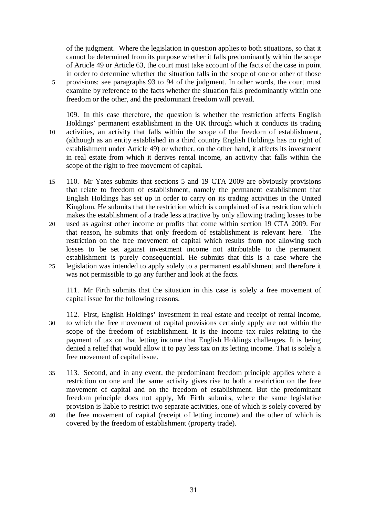of the judgment. Where the legislation in question applies to both situations, so that it cannot be determined from its purpose whether it falls predominantly within the scope of Article 49 or Article 63, the court must take account of the facts of the case in point in order to determine whether the situation falls in the scope of one or other of those 5 provisions: see paragraphs 93 to 94 of the judgment. In other words, the court must examine by reference to the facts whether the situation falls predominantly within one freedom or the other, and the predominant freedom will prevail.

- 109. In this case therefore, the question is whether the restriction affects English Holdings' permanent establishment in the UK through which it conducts its trading 10 activities, an activity that falls within the scope of the freedom of establishment, (although as an entity established in a third country English Holdings has no right of establishment under Article 49) or whether, on the other hand, it affects its investment in real estate from which it derives rental income, an activity that falls within the scope of the right to free movement of capital.
- 15 110. Mr Yates submits that sections 5 and 19 CTA 2009 are obviously provisions that relate to freedom of establishment, namely the permanent establishment that English Holdings has set up in order to carry on its trading activities in the United Kingdom. He submits that the restriction which is complained of is a restriction which makes the establishment of a trade less attractive by only allowing trading losses to be
- 20 used as against other income or profits that come within section 19 CTA 2009. For that reason, he submits that only freedom of establishment is relevant here. The restriction on the free movement of capital which results from not allowing such losses to be set against investment income not attributable to the permanent establishment is purely consequential. He submits that this is a case where the 25 legislation was intended to apply solely to a permanent establishment and therefore it was not permissible to go any further and look at the facts.

111. Mr Firth submits that the situation in this case is solely a free movement of capital issue for the following reasons.

- 112. First, English Holdings' investment in real estate and receipt of rental income, 30 to which the free movement of capital provisions certainly apply are not within the scope of the freedom of establishment. It is the income tax rules relating to the payment of tax on that letting income that English Holdings challenges. It is being denied a relief that would allow it to pay less tax on its letting income. That is solely a free movement of capital issue.
- 35 113. Second, and in any event, the predominant freedom principle applies where a restriction on one and the same activity gives rise to both a restriction on the free movement of capital and on the freedom of establishment. But the predominant freedom principle does not apply, Mr Firth submits, where the same legislative provision is liable to restrict two separate activities, one of which is solely covered by
- 40 the free movement of capital (receipt of letting income) and the other of which is covered by the freedom of establishment (property trade).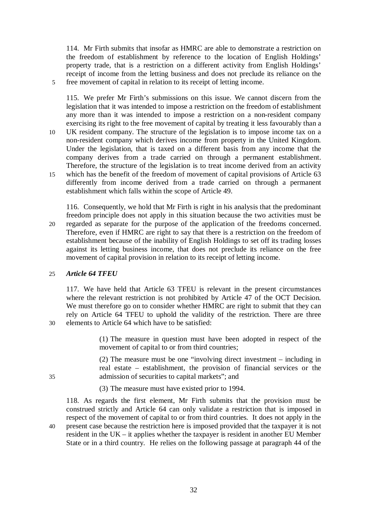114. Mr Firth submits that insofar as HMRC are able to demonstrate a restriction on the freedom of establishment by reference to the location of English Holdings' property trade, that is a restriction on a different activity from English Holdings' receipt of income from the letting business and does not preclude its reliance on the 5 free movement of capital in relation to its receipt of letting income.

115. We prefer Mr Firth's submissions on this issue. We cannot discern from the legislation that it was intended to impose a restriction on the freedom of establishment any more than it was intended to impose a restriction on a non-resident company exercising its right to the free movement of capital by treating it less favourably than a 10 UK resident company. The structure of the legislation is to impose income tax on a non-resident company which derives income from property in the United Kingdom. Under the legislation, that is taxed on a different basis from any income that the company derives from a trade carried on through a permanent establishment. Therefore, the structure of the legislation is to treat income derived from an activity 15 which has the benefit of the freedom of movement of capital provisions of Article 63 differently from income derived from a trade carried on through a permanent establishment which falls within the scope of Article 49.

116. Consequently, we hold that Mr Firth is right in his analysis that the predominant freedom principle does not apply in this situation because the two activities must be 20 regarded as separate for the purpose of the application of the freedoms concerned. Therefore, even if HMRC are right to say that there is a restriction on the freedom of establishment because of the inability of English Holdings to set off its trading losses against its letting business income, that does not preclude its reliance on the free movement of capital provision in relation to its receipt of letting income.

# 25 *Article 64 TFEU*

117. We have held that Article 63 TFEU is relevant in the present circumstances where the relevant restriction is not prohibited by Article 47 of the OCT Decision. We must therefore go on to consider whether HMRC are right to submit that they can rely on Article 64 TFEU to uphold the validity of the restriction. There are three 30 elements to Article 64 which have to be satisfied:

> (1) The measure in question must have been adopted in respect of the movement of capital to or from third countries;

(2) The measure must be one "involving direct investment – including in real estate – establishment, the provision of financial services or the 35 admission of securities to capital markets"; and

(3) The measure must have existed prior to 1994.

118. As regards the first element, Mr Firth submits that the provision must be construed strictly and Article 64 can only validate a restriction that is imposed in respect of the movement of capital to or from third countries. It does not apply in the 40 present case because the restriction here is imposed provided that the taxpayer it is not

resident in the UK – it applies whether the taxpayer is resident in another EU Member State or in a third country. He relies on the following passage at paragraph 44 of the

32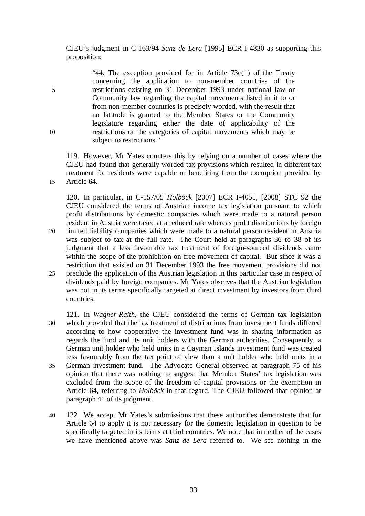CJEU's judgment in C-163/94 *Sanz de Lera* [1995] ECR I-4830 as supporting this proposition:

"44. The exception provided for in Article  $73c(1)$  of the Treaty concerning the application to non-member countries of the 5 restrictions existing on 31 December 1993 under national law or Community law regarding the capital movements listed in it to or from non-member countries is precisely worded, with the result that no latitude is granted to the Member States or the Community legislature regarding either the date of applicability of the 10 restrictions or the categories of capital movements which may be subject to restrictions."

119. However, Mr Yates counters this by relying on a number of cases where the CJEU had found that generally worded tax provisions which resulted in different tax treatment for residents were capable of benefiting from the exemption provided by 15 Article 64.

120. In particular, in C-157/05 *Holböck* [2007] ECR I-4051, [2008] STC 92 the CJEU considered the terms of Austrian income tax legislation pursuant to which profit distributions by domestic companies which were made to a natural person resident in Austria were taxed at a reduced rate whereas profit distributions by foreign 20 limited liability companies which were made to a natural person resident in Austria was subject to tax at the full rate. The Court held at paragraphs 36 to 38 of its judgment that a less favourable tax treatment of foreign-sourced dividends came within the scope of the prohibition on free movement of capital. But since it was a restriction that existed on 31 December 1993 the free movement provisions did not 25 preclude the application of the Austrian legislation in this particular case in respect of dividends paid by foreign companies. Mr Yates observes that the Austrian legislation was not in its terms specifically targeted at direct investment by investors from third countries.

121. In *Wagner-Raith*, the CJEU considered the terms of German tax legislation 30 which provided that the tax treatment of distributions from investment funds differed according to how cooperative the investment fund was in sharing information as regards the fund and its unit holders with the German authorities. Consequently, a German unit holder who held units in a Cayman Islands investment fund was treated less favourably from the tax point of view than a unit holder who held units in a 35 German investment fund. The Advocate General observed at paragraph 75 of his opinion that there was nothing to suggest that Member States' tax legislation was excluded from the scope of the freedom of capital provisions or the exemption in Article 64, referring to *Holböck* in that regard. The CJEU followed that opinion at paragraph 41 of its judgment.

40 122. We accept Mr Yates's submissions that these authorities demonstrate that for Article 64 to apply it is not necessary for the domestic legislation in question to be specifically targeted in its terms at third countries. We note that in neither of the cases we have mentioned above was *Sanz de Lera* referred to. We see nothing in the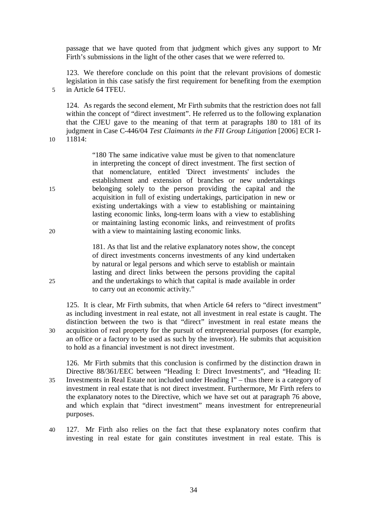passage that we have quoted from that judgment which gives any support to Mr Firth's submissions in the light of the other cases that we were referred to.

123. We therefore conclude on this point that the relevant provisions of domestic legislation in this case satisfy the first requirement for benefiting from the exemption 5 in Article 64 TFEU.

124. As regards the second element, Mr Firth submits that the restriction does not fall within the concept of "direct investment". He referred us to the following explanation that the CJEU gave to the meaning of that term at paragraphs 180 to 181 of its judgment in Case C-446/04 *Test Claimants in the FII Group Litigation* [2006] ECR I-10 11814:

"180 The same indicative value must be given to that nomenclature in interpreting the concept of direct investment. The first section of that nomenclature, entitled 'Direct investments' includes the establishment and extension of branches or new undertakings 15 belonging solely to the person providing the capital and the acquisition in full of existing undertakings, participation in new or existing undertakings with a view to establishing or maintaining lasting economic links, long-term loans with a view to establishing or maintaining lasting economic links, and reinvestment of profits 20 with a view to maintaining lasting economic links.

181. As that list and the relative explanatory notes show, the concept of direct investments concerns investments of any kind undertaken by natural or legal persons and which serve to establish or maintain lasting and direct links between the persons providing the capital 25 and the undertakings to which that capital is made available in order to carry out an economic activity."

125. It is clear, Mr Firth submits, that when Article 64 refers to "direct investment" as including investment in real estate, not all investment in real estate is caught. The distinction between the two is that "direct" investment in real estate means the 30 acquisition of real property for the pursuit of entrepreneurial purposes (for example, an office or a factory to be used as such by the investor). He submits that acquisition to hold as a financial investment is not direct investment.

126. Mr Firth submits that this conclusion is confirmed by the distinction drawn in Directive 88/361/EEC between "Heading I: Direct Investments", and "Heading II: 35 Investments in Real Estate not included under Heading I" – thus there is a category of investment in real estate that is not direct investment. Furthermore, Mr Firth refers to the explanatory notes to the Directive, which we have set out at paragraph 76 above, and which explain that "direct investment" means investment for entrepreneurial purposes.

40 127. Mr Firth also relies on the fact that these explanatory notes confirm that investing in real estate for gain constitutes investment in real estate. This is

34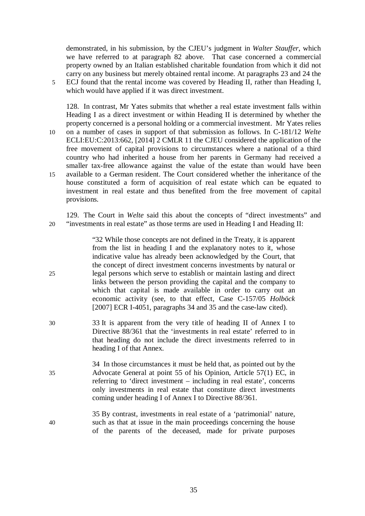demonstrated, in his submission, by the CJEU's judgment in *Walter Stauffer*, which we have referred to at paragraph 82 above. That case concerned a commercial property owned by an Italian established charitable foundation from which it did not carry on any business but merely obtained rental income. At paragraphs 23 and 24 the 5 ECJ found that the rental income was covered by Heading II, rather than Heading I, which would have applied if it was direct investment.

128. In contrast, Mr Yates submits that whether a real estate investment falls within Heading I as a direct investment or within Heading II is determined by whether the property concerned is a personal holding or a commercial investment. Mr Yates relies 10 on a number of cases in support of that submission as follows. In C-181/12 *Welte*  ECLI:EU:C:2013:662, [2014] 2 CMLR 11 the CJEU considered the application of the free movement of capital provisions to circumstances where a national of a third country who had inherited a house from her parents in Germany had received a smaller tax-free allowance against the value of the estate than would have been 15 available to a German resident. The Court considered whether the inheritance of the house constituted a form of acquisition of real estate which can be equated to investment in real estate and thus benefited from the free movement of capital provisions.

129. The Court in *Welte* said this about the concepts of "direct investments" and 20 "investments in real estate" as those terms are used in Heading I and Heading II:

"32 While those concepts are not defined in the Treaty, it is apparent from the list in heading I and the explanatory notes to it, whose indicative value has already been acknowledged by the Court, that the concept of direct investment concerns investments by natural or 25 legal persons which serve to establish or maintain lasting and direct links between the person providing the capital and the company to which that capital is made available in order to carry out an economic activity (see, to that effect, Case C-157/05 *Holböck* [2007] ECR I-4051, paragraphs 34 and 35 and the case-law cited).

- 30 33 It is apparent from the very title of heading II of Annex I to Directive 88/361 that the 'investments in real estate' referred to in that heading do not include the direct investments referred to in heading I of that Annex.
- 34 In those circumstances it must be held that, as pointed out by the 35 Advocate General at point 55 of his Opinion, Article 57(1) EC, in referring to 'direct investment – including in real estate', concerns only investments in real estate that constitute direct investments coming under heading I of Annex I to Directive 88/361.
- 35 By contrast, investments in real estate of a 'patrimonial' nature, 40 such as that at issue in the main proceedings concerning the house of the parents of the deceased, made for private purposes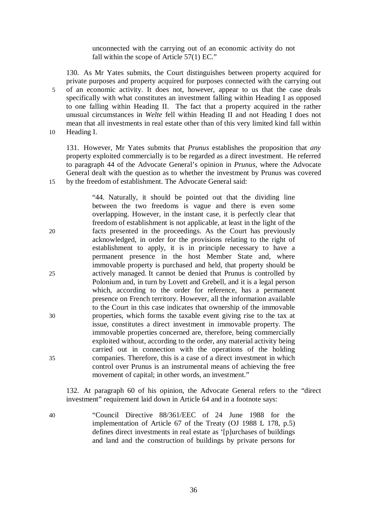unconnected with the carrying out of an economic activity do not fall within the scope of Article 57(1) EC."

130. As Mr Yates submits, the Court distinguishes between property acquired for private purposes and property acquired for purposes connected with the carrying out 5 of an economic activity. It does not, however, appear to us that the case deals specifically with what constitutes an investment falling within Heading I as opposed to one falling within Heading II. The fact that a property acquired in the rather unusual circumstances in *Welte* fell within Heading II and not Heading I does not mean that all investments in real estate other than of this very limited kind fall within 10 Heading I.

131. However, Mr Yates submits that *Prunus* establishes the proposition that *any* property exploited commercially is to be regarded as a direct investment. He referred to paragraph 44 of the Advocate General's opinion in *Prunus*, where the Advocate General dealt with the question as to whether the investment by Prunus was covered 15 by the freedom of establishment. The Advocate General said:

"44. Naturally, it should be pointed out that the dividing line between the two freedoms is vague and there is even some overlapping. However, in the instant case, it is perfectly clear that freedom of establishment is not applicable, at least in the light of the 20 facts presented in the proceedings. As the Court has previously acknowledged, in order for the provisions relating to the right of establishment to apply, it is in principle necessary to have a permanent presence in the host Member State and, where immovable property is purchased and held, that property should be 25 actively managed. It cannot be denied that Prunus is controlled by Polonium and, in turn by Lovett and Grebell, and it is a legal person which, according to the order for reference, has a permanent presence on French territory. However, all the information available to the Court in this case indicates that ownership of the immovable 30 properties, which forms the taxable event giving rise to the tax at issue, constitutes a direct investment in immovable property. The immovable properties concerned are, therefore, being commercially exploited without, according to the order, any material activity being carried out in connection with the operations of the holding 35 companies. Therefore, this is a case of a direct investment in which control over Prunus is an instrumental means of achieving the free movement of capital; in other words, an investment."

132. At paragraph 60 of his opinion, the Advocate General refers to the "direct investment" requirement laid down in Article 64 and in a footnote says:

40 "Council Directive 88/361/EEC of 24 June 1988 for the implementation of Article 67 of the Treaty (OJ 1988 L 178, p.5) defines direct investments in real estate as '[p]urchases of buildings and land and the construction of buildings by private persons for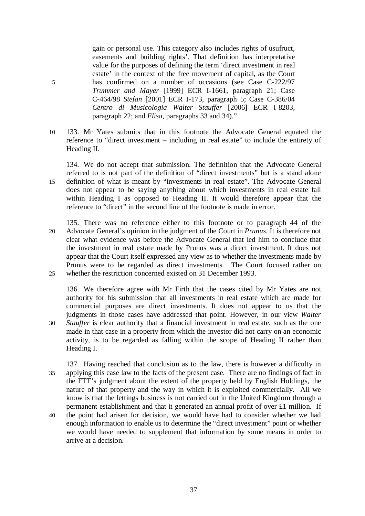gain or personal use. This category also includes rights of usufruct, easements and building rights'. That definition has interpretative value for the purposes of defining the term 'direct investment in real estate' in the context of the free movement of capital, as the Court 5 has confirmed on a number of occasions (see Case C-222/97 *Trummer and Mayer* [1999] ECR I-1661, paragraph 21; Case C-464/98 *Stefan* [2001] ECR I-173, paragraph 5; Case C-386/04 *Centro di Musicologia Walter Stauffer* [2006] ECR I-8203, paragraph 22; and *Elisa*, paragraphs 33 and 34)."

10 133. Mr Yates submits that in this footnote the Advocate General equated the reference to "direct investment – including in real estate" to include the entirety of Heading II.

134. We do not accept that submission. The definition that the Advocate General referred to is not part of the definition of "direct investments" but is a stand alone 15 definition of what is meant by "investments in real estate". The Advocate General does not appear to be saying anything about which investments in real estate fall within Heading I as opposed to Heading II. It would therefore appear that the reference to "direct" in the second line of the footnote is made in error.

135. There was no reference either to this footnote or to paragraph 44 of the 20 Advocate General's opinion in the judgment of the Court in *Prunus*. It is therefore not clear what evidence was before the Advocate General that led him to conclude that the investment in real estate made by Prunus was a direct investment. It does not appear that the Court itself expressed any view as to whether the investments made by Prunus were to be regarded as direct investments. The Court focused rather on 25 whether the restriction concerned existed on 31 December 1993.

136. We therefore agree with Mr Firth that the cases cited by Mr Yates are not authority for his submission that all investments in real estate which are made for commercial purposes are direct investments. It does not appear to us that the judgments in those cases have addressed that point. However, in our view *Walter*  30 *Stauffer* is clear authority that a financial investment in real estate, such as the one made in that case in a property from which the investor did not carry on an economic activity, is to be regarded as falling within the scope of Heading II rather than Heading I.

- 137. Having reached that conclusion as to the law, there is however a difficulty in 35 applying this case law to the facts of the present case. There are no findings of fact in the FTT's judgment about the extent of the property held by English Holdings, the nature of that property and the way in which it is exploited commercially. All we know is that the lettings business is not carried out in the United Kingdom through a permanent establishment and that it generated an annual profit of over £1 million. If
- 40 the point had arisen for decision, we would have had to consider whether we had enough information to enable us to determine the "direct investment" point or whether we would have needed to supplement that information by some means in order to arrive at a decision.